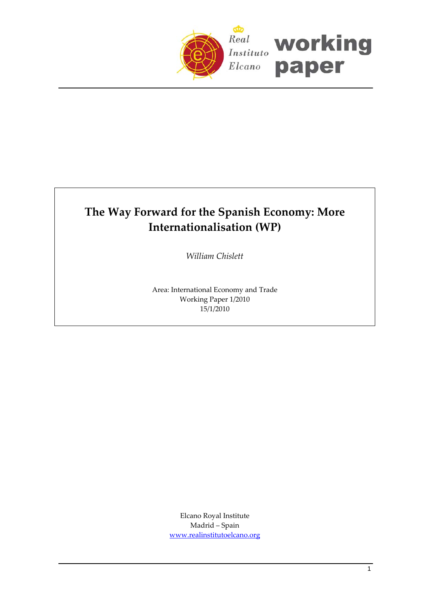

# **The Way Forward for the Spanish Economy: More Internationalisation (WP)**

*William Chislett*

Area: International Economy and Trade Working Paper 1/2010 15/1/2010

> Elcano Royal Institute Madrid – Spain [www.realinstitutoelcano.org](http://www.realinstitutoelcano.org/)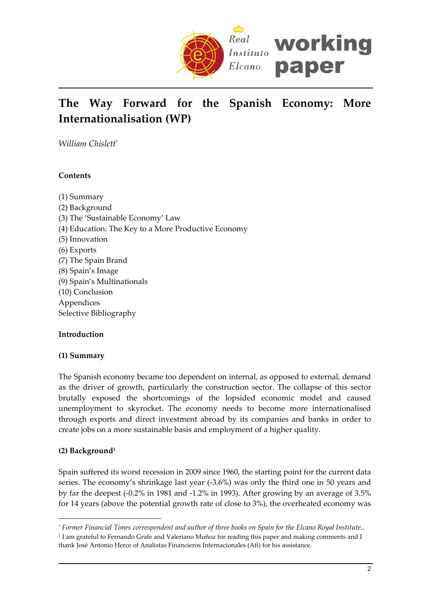

# **The Way Forward for the Spanish Economy: More Internationalisation (WP)**

*William Chislett*[\\*](#page-1-0)

# **Contents**

(1) Summary (2) Background (3) The 'Sustainable Economy' Law (4) Education: The Key to a More Productive Economy (5) Innovation (6) Exports (7) The Spain Brand (8) Spain's Image (9) Spain's Multinationals (10) Conclusion Appendices Selective Bibliography

## **Introduction**

## **(1) Summary**

The Spanish economy became too dependent on internal, as opposed to external, demand as the driver of growth, particularly the construction sector. The collapse of this sector brutally exposed the shortcomings of the lopsided economic model and caused unemployment to skyrocket. The economy needs to become more internationalised through exports and direct investment abroad by its companies and banks in order to create jobs on a more sustainable basis and employment of a higher quality.

## **(2) Background[1](#page-1-1)**

 $\overline{a}$ 

Spain suffered its worst recession in 2009 since 1960, the starting point for the current data series. The economy's shrinkage last year (‐3.6%) was only the third one in 50 years and by far the deepest (‐0.2% in 1981 and ‐1.2% in 1993). After growing by an average of 3.5% for 14 years (above the potential growth rate of close to 3%), the overheated economy was

<span id="page-1-0"></span>\* Former Financial Times correspondent and author of three books on Spain for the Elcano Royal Institute..

<span id="page-1-1"></span><sup>1</sup> I am grateful to Fernando Grafe and Valeriano Muñoz for reading this paper and making comments and I thank José Antonio Herce of Analistas Financieros Internacionales (Afi) for his assistance.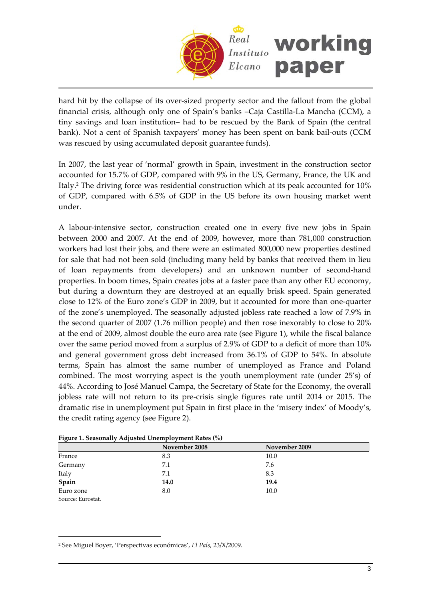

hard hit by the collapse of its over-sized property sector and the fallout from the global financial crisis, although only one of Spain's banks –Caja Castilla‐La Mancha (CCM), a tiny savings and loan institution– had to be rescued by the Bank of Spain (the central bank). Not a cent of Spanish taxpayers' money has been spent on bank bail‐outs (CCM was rescued by using accumulated deposit guarantee funds).

In 2007, the last year of 'normal' growth in Spain, investment in the construction sector accounted for 15.7% of GDP, compared with 9% in the US, Germany, France, the UK and Italy[.2](#page-2-0) The driving force was residential construction which at its peak accounted for 10% of GDP, compared with 6.5% of GDP in the US before its own housing market went under.

A labour‐intensive sector, construction created one in every five new jobs in Spain between 2000 and 2007. At the end of 2009, however, more than 781,000 construction workers had lost their jobs, and there were an estimated 800,000 new properties destined for sale that had not been sold (including many held by banks that received them in lieu of loan repayments from developers) and an unknown number of second‐hand properties. In boom times, Spain creates jobs at a faster pace than any other EU economy, but during a downturn they are destroyed at an equally brisk speed. Spain generated close to 12% of the Euro zone's GDP in 2009, but it accounted for more than one‐quarter of the zone's unemployed. The seasonally adjusted jobless rate reached a low of 7.9% in the second quarter of 2007 (1.76 million people) and then rose inexorably to close to 20% at the end of 2009, almost double the euro area rate (see Figure 1), while the fiscal balance over the same period moved from a surplus of 2.9% of GDP to a deficit of more than 10% and general government gross debt increased from 36.1% of GDP to 54%. In absolute terms, Spain has almost the same number of unemployed as France and Poland combined. The most worrying aspect is the youth unemployment rate (under 25's) of 44%. According to José Manuel Campa, the Secretary of State for the Economy, the overall jobless rate will not return to its pre‐crisis single figures rate until 2014 or 2015. The dramatic rise in unemployment put Spain in first place in the 'misery index' of Moody's, the credit rating agency (see Figure 2).

| Tigale 1. Scasonarry Aufusicu Onemproyment Rates (70) |               |               |  |  |  |  |
|-------------------------------------------------------|---------------|---------------|--|--|--|--|
|                                                       | November 2008 | November 2009 |  |  |  |  |
| France                                                | 8.3           | 10.0          |  |  |  |  |
| Germany                                               | 7.1           | 7.6           |  |  |  |  |
| Italy                                                 | 7.1           | 8.3           |  |  |  |  |
| Spain                                                 | 14.0          | 19.4          |  |  |  |  |
| Euro zone                                             | 8.0           | 10.0          |  |  |  |  |

|  |  | Figure 1. Seasonally Adjusted Unemployment Rates (%) |
|--|--|------------------------------------------------------|
|  |  |                                                      |

Source: Eurostat.

 $\overline{a}$ 

<span id="page-2-0"></span><sup>2</sup> See Miguel Boyer, 'Perspectivas económicas', *El País*, 23/X/2009.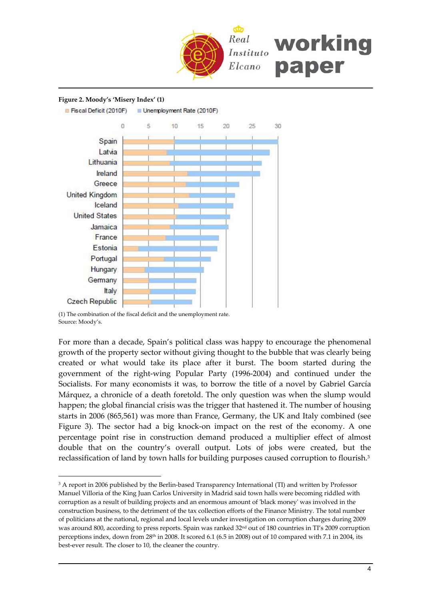

#### **Figure 2. Moody's 'Misery Index' (1)**

Fiscal Deficit (2010F) Unemployment Rate (2010F)



(1) The combination of the fiscal deficit and the unemployment rate. Source: Moody's.

 $\overline{a}$ 

For more than a decade, Spain's political class was happy to encourage the phenomenal growth of the property sector without giving thought to the bubble that was clearly being created or what would take its place after it burst. The boom started during the government of the right‐wing Popular Party (1996‐2004) and continued under the Socialists. For many economists it was, to borrow the title of a novel by Gabriel García Márquez, a chronicle of a death foretold. The only question was when the slump would happen; the global financial crisis was the trigger that hastened it. The number of housing starts in 2006 (865,561) was more than France, Germany, the UK and Italy combined (see Figure 3). The sector had a big knock-on impact on the rest of the economy. A one percentage point rise in construction demand produced a multiplier effect of almost double that on the country's overall output. Lots of jobs were created, but the reclassification of land by town halls for building purposes caused corruption to flourish.[3](#page-3-0)

<span id="page-3-0"></span><sup>&</sup>lt;sup>3</sup> A report in 2006 published by the Berlin-based Transparency International (TI) and written by Professor Manuel Villoria of the King Juan Carlos University in Madrid said town halls were becoming riddled with corruption as a result of building projects and an enormous amount of ʹblack moneyʹ was involved in the construction business, to the detriment of the tax collection efforts of the Finance Ministry. The total number of politicians at the national, regional and local levels under investigation on corruption charges during 2009 was around 800, according to press reports. Spain was ranked 32<sup>nd</sup> out of 180 countries in TI's 2009 corruption perceptions index, down from 28<sup>th</sup> in 2008. It scored 6.1 (6.5 in 2008) out of 10 compared with 7.1 in 2004, its best-ever result. The closer to 10, the cleaner the country.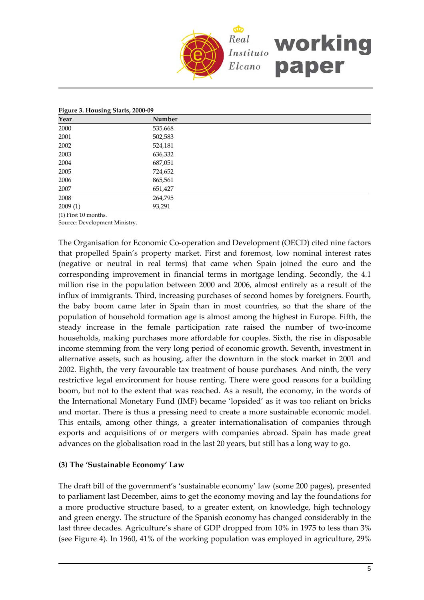

#### **Figure 3. Housing Starts, 2000‐09**

| <u>___</u><br>ັ<br>Year        | Number  |  |
|--------------------------------|---------|--|
| 2000                           | 535,668 |  |
| 2001                           | 502,583 |  |
| 2002                           | 524,181 |  |
| 2003                           | 636,332 |  |
| 2004                           | 687,051 |  |
| 2005                           | 724,652 |  |
| 2006                           | 865,561 |  |
| 2007                           | 651,427 |  |
| 2008                           | 264,795 |  |
| 2009(1)                        | 93,291  |  |
| $(4.5.77)$ $(1.4.0)$<br>$\sim$ |         |  |

(1) First 10 months. Source: Development Ministry.

The Organisation for Economic Co-operation and Development (OECD) cited nine factors that propelled Spain's property market. First and foremost, low nominal interest rates (negative or neutral in real terms) that came when Spain joined the euro and the corresponding improvement in financial terms in mortgage lending. Secondly, the 4.1 million rise in the population between 2000 and 2006, almost entirely as a result of the influx of immigrants. Third, increasing purchases of second homes by foreigners. Fourth, the baby boom came later in Spain than in most countries, so that the share of the population of household formation age is almost among the highest in Europe. Fifth, the steady increase in the female participation rate raised the number of two-income households, making purchases more affordable for couples. Sixth, the rise in disposable income stemming from the very long period of economic growth. Seventh, investment in alternative assets, such as housing, after the downturn in the stock market in 2001 and 2002. Eighth, the very favourable tax treatment of house purchases. And ninth, the very restrictive legal environment for house renting. There were good reasons for a building boom, but not to the extent that was reached. As a result, the economy, in the words of the International Monetary Fund (IMF) became 'lopsided' as it was too reliant on bricks and mortar. There is thus a pressing need to create a more sustainable economic model. This entails, among other things, a greater internationalisation of companies through exports and acquisitions of or mergers with companies abroad. Spain has made great advances on the globalisation road in the last 20 years, but still has a long way to go.

### **(3) The 'Sustainable Economy' Law**

The draft bill of the government's 'sustainable economy' law (some 200 pages), presented to parliament last December, aims to get the economy moving and lay the foundations for a more productive structure based, to a greater extent, on knowledge, high technology and green energy. The structure of the Spanish economy has changed considerably in the last three decades. Agriculture's share of GDP dropped from 10% in 1975 to less than 3% (see Figure 4). In 1960, 41% of the working population was employed in agriculture, 29%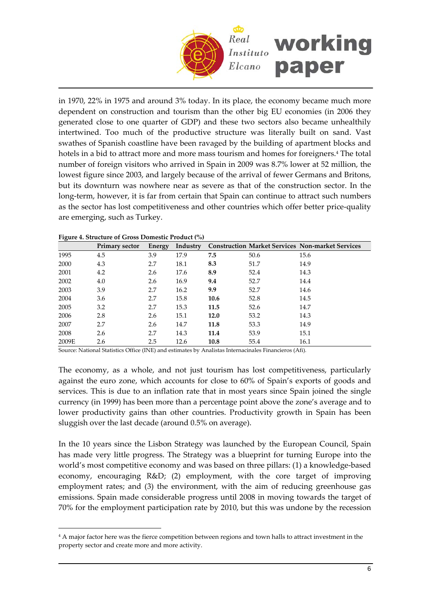

in 1970, 22% in 1975 and around 3% today. In its place, the economy became much more dependent on construction and tourism than the other big EU economies (in 2006 they generated close to one quarter of GDP) and these two sectors also became unhealthily intertwined. Too much of the productive structure was literally built on sand. Vast swathes of Spanish coastline have been ravaged by the building of apartment blocks and hotels in a bid to attract more and more mass tourism and homes for foreigners.<sup>[4](#page-5-0)</sup> The total number of foreign visitors who arrived in Spain in 2009 was 8.7% lower at 52 million, the lowest figure since 2003, and largely because of the arrival of fewer Germans and Britons, but its downturn was nowhere near as severe as that of the construction sector. In the long-term, however, it is far from certain that Spain can continue to attract such numbers as the sector has lost competitiveness and other countries which offer better price-quality are emerging, such as Turkey.

| $\overline{\phantom{a}}$ | <b>Primary sector</b> | Energy | Industry |      |      | <b>Construction Market Services Non-market Services</b> |
|--------------------------|-----------------------|--------|----------|------|------|---------------------------------------------------------|
| 1995                     | 4.5                   | 3.9    | 17.9     | 7.5  | 50.6 | 15.6                                                    |
| 2000                     | 4.3                   | 2.7    | 18.1     | 8.3  | 51.7 | 14.9                                                    |
| 2001                     | 4.2                   | 2.6    | 17.6     | 8.9  | 52.4 | 14.3                                                    |
| 2002                     | 4.0                   | 2.6    | 16.9     | 9.4  | 52.7 | 14.4                                                    |
| 2003                     | 3.9                   | 2.7    | 16.2     | 9.9  | 52.7 | 14.6                                                    |
| 2004                     | 3.6                   | 2.7    | 15.8     | 10.6 | 52.8 | 14.5                                                    |
| 2005                     | 3.2                   | 2.7    | 15.3     | 11.5 | 52.6 | 14.7                                                    |
| 2006                     | 2.8                   | 2.6    | 15.1     | 12.0 | 53.2 | 14.3                                                    |
| 2007                     | 2.7                   | 2.6    | 14.7     | 11.8 | 53.3 | 14.9                                                    |
| 2008                     | 2.6                   | 2.7    | 14.3     | 11.4 | 53.9 | 15.1                                                    |
| 2009E                    | 2.6                   | 2.5    | 12.6     | 10.8 | 55.4 | 16.1                                                    |

#### **Figure 4. Structure of Gross Domestic Product (%)**

 $\overline{a}$ 

Source: National Statistics Office (INE) and estimates by Analistas Internacinales Financieros (Afi).

The economy, as a whole, and not just tourism has lost competitiveness, particularly against the euro zone, which accounts for close to 60% of Spain's exports of goods and services. This is due to an inflation rate that in most years since Spain joined the single currency (in 1999) has been more than a percentage point above the zone's average and to lower productivity gains than other countries. Productivity growth in Spain has been sluggish over the last decade (around 0.5% on average).

In the 10 years since the Lisbon Strategy was launched by the European Council, Spain has made very little progress. The Strategy was a blueprint for turning Europe into the world's most competitive economy and was based on three pillars: (1) a knowledge-based economy, encouraging R&D; (2) employment, with the core target of improving employment rates; and (3) the environment, with the aim of reducing greenhouse gas emissions. Spain made considerable progress until 2008 in moving towards the target of 70% for the employment participation rate by 2010, but this was undone by the recession

<span id="page-5-0"></span><sup>4</sup> A major factor here was the fierce competition between regions and town halls to attract investment in the property sector and create more and more activity.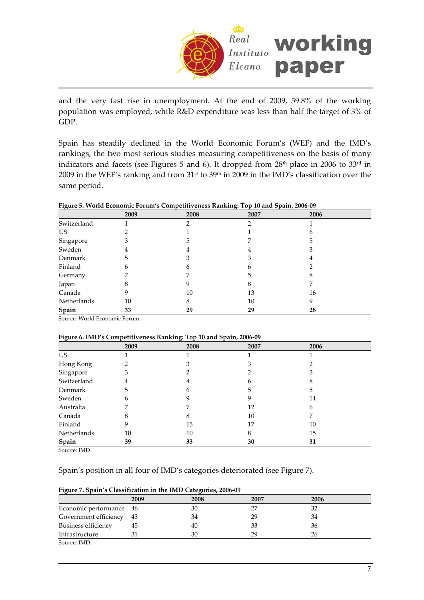

and the very fast rise in unemployment. At the end of 2009, 59.8% of the working population was employed, while R&D expenditure was less than half the target of 3% of GDP.

Spain has steadily declined in the World Economic Forum's (WEF) and the IMD's rankings, the two most serious studies measuring competitiveness on the basis of many indicators and facets (see Figures 5 and 6). It dropped from 28<sup>th</sup> place in 2006 to 33<sup>rd</sup> in 2009 in the WEF's ranking and from 31<sup>st</sup> to 39<sup>th</sup> in 2009 in the IMD's classification over the same period.

| ◡           |      |      | ັ    |      |  |
|-------------|------|------|------|------|--|
|             | 2009 | 2008 | 2007 | 2006 |  |
| Switzerland |      |      | ∍    |      |  |
| US          |      |      |      | n    |  |
| Singapore   | З    | h    |      | 5    |  |
| Sweden      | 4    |      |      |      |  |
| Denmark     | 5    |      |      |      |  |
| Finland     | 6    | n    | h    |      |  |
| Germany     |      |      | 5    |      |  |
| Japan       |      |      | 8    |      |  |
| Canada      | 9    | 10   | 13   | 16   |  |
| Netherlands | 10   | 8    | 10   | 9    |  |
| Spain       | 33   | 29   | 29   | 28   |  |

Source: World Economic Forum.

#### **Figure 6. IMD's Competitiveness Ranking: Top 10 and Spain, 2006‐09**

|             | 2009 | 2008 | 2007 | 2006 |  |
|-------------|------|------|------|------|--|
| US          |      |      |      |      |  |
| Hong Kong   |      |      |      |      |  |
| Singapore   | 3    |      |      |      |  |
| Switzerland | 4    | 4    | h    |      |  |
| Denmark     | 5    | h    | 5    | 5    |  |
| Sweden      | 6    |      | 9    | 14   |  |
| Australia   |      |      | 12   | 6    |  |
| Canada      |      |      | 10   |      |  |
| Finland     | 9    | 15   | 17   | 10   |  |
| Netherlands | 10   | 10   | 8    | 15   |  |
| Spain       | 39   | 33   | 30   | 31   |  |

Source: IMD.

## Spain's position in all four of IMD's categories deteriorated (see Figure 7).

| <u>.</u>                 |      |      |      |      |  |  |
|--------------------------|------|------|------|------|--|--|
|                          | 2009 | 2008 | 2007 | 2006 |  |  |
| Economic performance 46  |      | 30   |      |      |  |  |
| Government efficiency 43 |      | 34   | 29   | 34   |  |  |
| Business efficiency      | 45   | 40   | 33   | 36   |  |  |
| Infrastructure           |      | 30   | 29   | 26   |  |  |
| Source: IMD.             |      |      |      |      |  |  |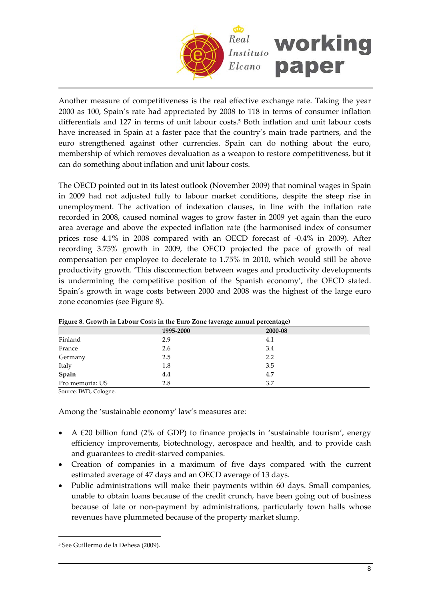

Another measure of competitiveness is the real effective exchange rate. Taking the year 2000 as 100, Spain's rate had appreciated by 2008 to 118 in terms of consumer inflation differentials and 127 in terms of unit labour costs.<sup>[5](#page-7-0)</sup> Both inflation and unit labour costs have increased in Spain at a faster pace that the country's main trade partners, and the euro strengthened against other currencies. Spain can do nothing about the euro, membership of which removes devaluation as a weapon to restore competitiveness, but it can do something about inflation and unit labour costs.

The OECD pointed out in its latest outlook (November 2009) that nominal wages in Spain in 2009 had not adjusted fully to labour market conditions, despite the steep rise in unemployment. The activation of indexation clauses, in line with the inflation rate recorded in 2008, caused nominal wages to grow faster in 2009 yet again than the euro area average and above the expected inflation rate (the harmonised index of consumer prices rose 4.1% in 2008 compared with an OECD forecast of ‐0.4% in 2009). After recording 3.75% growth in 2009, the OECD projected the pace of growth of real compensation per employee to decelerate to 1.75% in 2010, which would still be above productivity growth. 'This disconnection between wages and productivity developments is undermining the competitive position of the Spanish economy', the OECD stated. Spain's growth in wage costs between 2000 and 2008 was the highest of the large euro zone economies (see Figure 8).

| Tigure 0. STOWIN IN Earour Costs In the Euro Zone (average annual percentage) |           |         |  |  |  |
|-------------------------------------------------------------------------------|-----------|---------|--|--|--|
|                                                                               | 1995-2000 | 2000-08 |  |  |  |
| Finland                                                                       | 2.9       | 4.1     |  |  |  |
| France                                                                        | 2.6       | 3.4     |  |  |  |
| Germany                                                                       | 2.5       | 2.2     |  |  |  |
| Italy                                                                         | 1.8       | 3.5     |  |  |  |
| Spain                                                                         | 4.4       | 4.7     |  |  |  |
| Pro memoria: US                                                               | 2.8       | 3.7     |  |  |  |

|  |  |  | Figure 8. Growth in Labour Costs in the Euro Zone (average annual percentage) |  |
|--|--|--|-------------------------------------------------------------------------------|--|
|  |  |  |                                                                               |  |
|  |  |  |                                                                               |  |

Source: IWD, Cologne.

Among the 'sustainable economy' law's measures are:

- A  $\epsilon$ 20 billion fund (2% of GDP) to finance projects in 'sustainable tourism', energy efficiency improvements, biotechnology, aerospace and health, and to provide cash and guarantees to credit‐starved companies.
- Creation of companies in a maximum of five days compared with the current estimated average of 47 days and an OECD average of 13 days.
- Public administrations will make their payments within 60 days. Small companies, unable to obtain loans because of the credit crunch, have been going out of business because of late or non-payment by administrations, particularly town halls whose revenues have plummeted because of the property market slump.

 $\overline{a}$ 

<span id="page-7-0"></span><sup>5</sup> See Guillermo de la Dehesa (2009).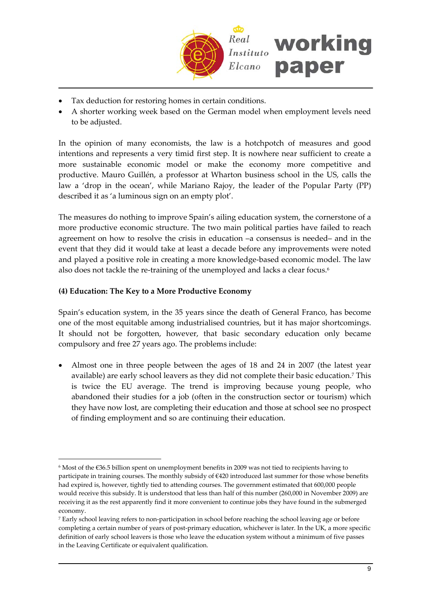

- Tax deduction for restoring homes in certain conditions.
- A shorter working week based on the German model when employment levels need to be adjusted.

In the opinion of many economists, the law is a hotchpotch of measures and good intentions and represents a very timid first step. It is nowhere near sufficient to create a more sustainable economic model or make the economy more competitive and productive. Mauro Guillén, a professor at Wharton business school in the US, calls the law a 'drop in the ocean', while Mariano Rajoy, the leader of the Popular Party (PP) described it as 'a luminous sign on an empty plot'.

The measures do nothing to improve Spain's ailing education system, the cornerstone of a more productive economic structure. The two main political parties have failed to reach agreement on how to resolve the crisis in education –a consensus is needed– and in the event that they did it would take at least a decade before any improvements were noted and played a positive role in creating a more knowledge‐based economic model. The law also does not tackle the re-training of the unemployed and lacks a clear focus.<sup>[6](#page-8-0)</sup>

## **(4) Education: The Key to a More Productive Economy**

 $\overline{a}$ 

Spain's education system, in the 35 years since the death of General Franco, has become one of the most equitable among industrialised countries, but it has major shortcomings. It should not be forgotten, however, that basic secondary education only became compulsory and free 27 years ago. The problems include:

• Almost one in three people between the ages of 18 and 24 in 2007 (the latest year available) are early school leavers as they did not complete their basic education.[7](#page-8-1) This is twice the EU average. The trend is improving because young people, who abandoned their studies for a job (often in the construction sector or tourism) which they have now lost, are completing their education and those at school see no prospect of finding employment and so are continuing their education.

<span id="page-8-0"></span><sup>6</sup> Most of the €36.5 billion spent on unemployment benefits in 2009 was not tied to recipients having to participate in training courses. The monthly subsidy of €420 introduced last summer for those whose benefits had expired is, however, tightly tied to attending courses. The government estimated that 600,000 people would receive this subsidy. It is understood that less than half of this number (260,000 in November 2009) are receiving it as the rest apparently find it more convenient to continue jobs they have found in the submerged economy.

<span id="page-8-1"></span><sup>7</sup> Early school leaving refers to non‐participation in school before reaching the school leaving age or before completing a certain number of years of post‐primary education, whichever is later. In the UK, a more specific definition of early school leavers is those who leave the education system without a minimum of five passes in the Leaving Certificate or equivalent qualification.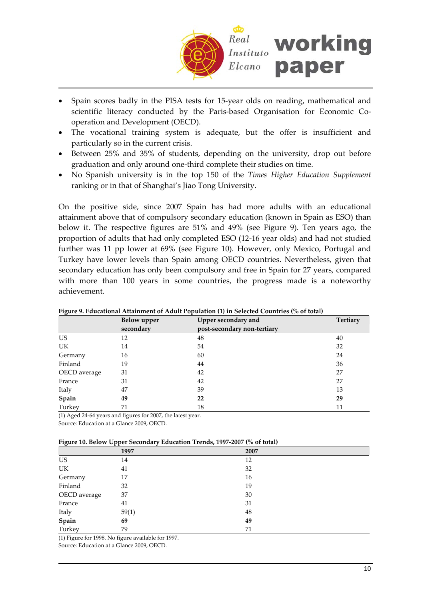

- Spain scores badly in the PISA tests for 15‐year olds on reading, mathematical and scientific literacy conducted by the Paris-based Organisation for Economic Cooperation and Development (OECD).
- The vocational training system is adequate, but the offer is insufficient and particularly so in the current crisis.
- Between 25% and 35% of students, depending on the university, drop out before graduation and only around one‐third complete their studies on time.
- No Spanish university is in the top 150 of the *Times Higher Education Supplement* ranking or in that of Shanghai's Jiao Tong University.

On the positive side, since 2007 Spain has had more adults with an educational attainment above that of compulsory secondary education (known in Spain as ESO) than below it. The respective figures are 51% and 49% (see Figure 9). Ten years ago, the proportion of adults that had only completed ESO (12‐16 year olds) and had not studied further was 11 pp lower at 69% (see Figure 10). However, only Mexico, Portugal and Turkey have lower levels than Spain among OECD countries. Nevertheless, given that secondary education has only been compulsory and free in Spain for 27 years, compared with more than 100 years in some countries, the progress made is a noteworthy achievement.

| rigure 9. Equicational Attainment of Aquit ropulation (1) in Selected Countries (76 of total) |             |                             |                 |  |  |  |
|-----------------------------------------------------------------------------------------------|-------------|-----------------------------|-----------------|--|--|--|
|                                                                                               | Below upper | Upper secondary and         | <b>Tertiary</b> |  |  |  |
|                                                                                               | secondary   | post-secondary non-tertiary |                 |  |  |  |
| US.                                                                                           | 12          | 48                          | 40              |  |  |  |
| UK                                                                                            | 14          | 54                          | 32              |  |  |  |
| Germany                                                                                       | 16          | 60                          | 24              |  |  |  |
| Finland                                                                                       | 19          | 44                          | 36              |  |  |  |
| OECD average                                                                                  | 31          | 42                          | 27              |  |  |  |
| France                                                                                        | 31          | 42                          | 27              |  |  |  |
| Italy                                                                                         | 47          | 39                          | 13              |  |  |  |
| Spain                                                                                         | 49          | 22                          | 29              |  |  |  |
| Turkey                                                                                        | 71          | 18                          | 11              |  |  |  |

**Figure 9. Educational Attainment of Adult Population (1) in Selected Countries (% of total)**

(1) Aged 24‐64 years and figures for 2007, the latest year.

Source: Education at a Glance 2009, OECD.

| Figure 10. Below Upper Secondary Education Trends, 1997-2007 (% of total) |  |  |  |
|---------------------------------------------------------------------------|--|--|--|
|                                                                           |  |  |  |
|                                                                           |  |  |  |
|                                                                           |  |  |  |

| $-5-0$<br>--- - -<br><br>$= 1000$ |       |      |  |  |  |
|-----------------------------------|-------|------|--|--|--|
|                                   | 1997  | 2007 |  |  |  |
| US                                | 14    | 12   |  |  |  |
| $\ensuremath{\text{UK}}\xspace$   | 41    | 32   |  |  |  |
| Germany                           | 17    | 16   |  |  |  |
| Finland                           | 32    | 19   |  |  |  |
| OECD average                      | 37    | 30   |  |  |  |
| France                            | 41    | 31   |  |  |  |
| Italy                             | 59(1) | 48   |  |  |  |
| Spain                             | 69    | 49   |  |  |  |
| Turkey                            | 79    | 71   |  |  |  |

(1) Figure for 1998. No figure available for 1997.

Source: Education at a Glance 2009, OECD.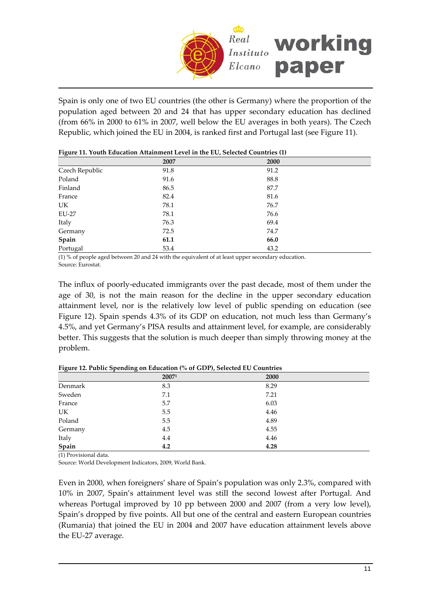

Spain is only one of two EU countries (the other is Germany) where the proportion of the population aged between 20 and 24 that has upper secondary education has declined (from 66% in 2000 to 61% in 2007, well below the EU averages in both years). The Czech Republic, which joined the EU in 2004, is ranked first and Portugal last (see Figure 11).

| ັ              | . .  |      |
|----------------|------|------|
|                | 2007 | 2000 |
| Czech Republic | 91.8 | 91.2 |
| Poland         | 91.6 | 88.8 |
| Finland        | 86.5 | 87.7 |
| France         | 82.4 | 81.6 |
| UK             | 78.1 | 76.7 |
| <b>EU-27</b>   | 78.1 | 76.6 |
| Italy          | 76.3 | 69.4 |
| Germany        | 72.5 | 74.7 |
| Spain          | 61.1 | 66.0 |
| Portugal       | 53.4 | 43.2 |
|                |      |      |

| Figure 11. Youth Education Attainment Level in the EU, Selected Countries (1) |  |  |  |
|-------------------------------------------------------------------------------|--|--|--|
|-------------------------------------------------------------------------------|--|--|--|

(1) % of people aged between 20 and 24 with the equivalent of at least upper secondary education. Source: Eurostat.

The influx of poorly-educated immigrants over the past decade, most of them under the age of 30, is not the main reason for the decline in the upper secondary education attainment level, nor is the relatively low level of public spending on education (see Figure 12). Spain spends 4.3% of its GDP on education, not much less than Germany's 4.5%, and yet Germany's PISA results and attainment level, for example, are considerably better. This suggests that the solution is much deeper than simply throwing money at the problem.

|         | ັ     |      |  |
|---------|-------|------|--|
|         | 20071 | 2000 |  |
| Denmark | 8.3   | 8.29 |  |
| Sweden  | 7.1   | 7.21 |  |
| France  | 5.7   | 6.03 |  |
| UK      | 5.5   | 4.46 |  |
| Poland  | 5.5   | 4.89 |  |
| Germany | 4.5   | 4.55 |  |
| Italy   | 4.4   | 4.46 |  |
| Spain   | 4.2   | 4.28 |  |

**Figure 12. Public Spending on Education (% of GDP), Selected EU Countries**

(1) Provisional data.

Source: World Development Indicators, 2009, World Bank.

Even in 2000, when foreigners' share of Spain's population was only 2.3%, compared with 10% in 2007, Spain's attainment level was still the second lowest after Portugal. And whereas Portugal improved by 10 pp between 2000 and 2007 (from a very low level), Spain's dropped by five points. All but one of the central and eastern European countries (Rumania) that joined the EU in 2004 and 2007 have education attainment levels above the EU‐27 average.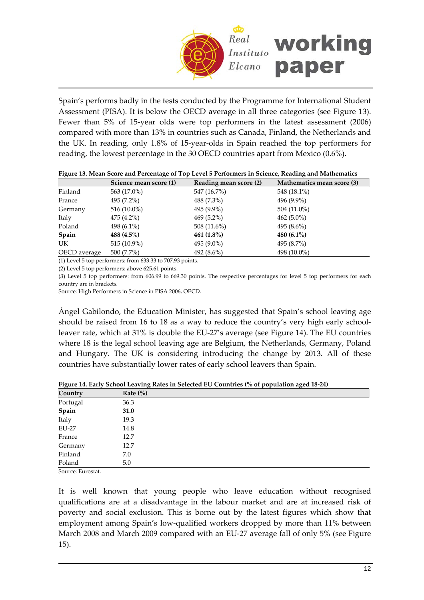

Spain's performs badly in the tests conducted by the Programme for International Student Assessment (PISA). It is below the OECD average in all three categories (see Figure 13). Fewer than 5% of 15-year olds were top performers in the latest assessment (2006) compared with more than 13% in countries such as Canada, Finland, the Netherlands and the UK. In reading, only 1.8% of 15‐year‐olds in Spain reached the top performers for reading, the lowest percentage in the 30 OECD countries apart from Mexico (0.6%).

| Tigale 19. mean beate and I creenage of Top Eevel 9 Femanneis in ocience, reading and mathematics |                        |                        |                            |  |  |  |
|---------------------------------------------------------------------------------------------------|------------------------|------------------------|----------------------------|--|--|--|
|                                                                                                   | Science mean score (1) | Reading mean score (2) | Mathematics mean score (3) |  |  |  |
| Finland                                                                                           | 563 (17.0%)            | 547 (16.7%)            | 548 (18.1%)                |  |  |  |
| France                                                                                            | 495 (7.2%)             | 488 (7.3%)             | 496 (9.9%)                 |  |  |  |
| Germany                                                                                           | 516 (10.0%)            | 495 (9.9%)             | 504 (11.0%)                |  |  |  |
| Italy                                                                                             | 475 (4.2%)             | $469(5.2\%)$           | $462(5.0\%)$               |  |  |  |
| Poland                                                                                            | 498 (6.1%)             | 508 (11.6%)            | 495 $(8.6\%)$              |  |  |  |
| Spain                                                                                             | 488 (4.5%)             | 461 $(1.8\%)$          | 480 $(6.1\%)$              |  |  |  |
| UK                                                                                                | 515 (10.9%)            | 495 (9.0%)             | 495 (8.7%)                 |  |  |  |
| OECD average                                                                                      | 500 (7.7%)             | 492 (8.6%)             | 498 (10.0%)                |  |  |  |
|                                                                                                   |                        |                        |                            |  |  |  |

|  |  |  | Figure 13. Mean Score and Percentage of Top Level 5 Performers in Science, Reading and Mathematics |  |  |  |
|--|--|--|----------------------------------------------------------------------------------------------------|--|--|--|
|  |  |  |                                                                                                    |  |  |  |
|  |  |  |                                                                                                    |  |  |  |
|  |  |  |                                                                                                    |  |  |  |

(1) Level 5 top performers: from 633.33 to 707.93 points.

(2) Level 5 top performers: above 625.61 points.

(3) Level 5 top performers: from 606.99 to 669.30 points. The respective percentages for level 5 top performers for each country are in brackets.

Source: High Performers in Science in PISA 2006, OECD.

Ángel Gabilondo, the Education Minister, has suggested that Spain's school leaving age should be raised from 16 to 18 as a way to reduce the country's very high early schoolleaver rate, which at 31% is double the EU‐27's average (see Figure 14). The EU countries where 18 is the legal school leaving age are Belgium, the Netherlands, Germany, Poland and Hungary. The UK is considering introducing the change by 2013. All of these countries have substantially lower rates of early school leavers than Spain.

| Country                   | Rate $(\% )$ |  |
|---------------------------|--------------|--|
| Portugal                  | 36.3         |  |
| Spain                     | 31.0         |  |
| Italy                     | 19.3         |  |
| <b>EU-27</b>              | 14.8         |  |
| France                    | 12.7         |  |
| Germany                   | 12.7         |  |
| Finland                   | 7.0          |  |
| Poland                    | 5.0          |  |
| $\sim$ $\sim$ $\sim$<br>. |              |  |

**Figure 14. Early School Leaving Rates in Selected EU Countries (% of population aged 18‐24)**

Source: Eurostat.

It is well known that young people who leave education without recognised qualifications are at a disadvantage in the labour market and are at increased risk of poverty and social exclusion. This is borne out by the latest figures which show that employment among Spain's low-qualified workers dropped by more than 11% between March 2008 and March 2009 compared with an EU‐27 average fall of only 5% (see Figure 15).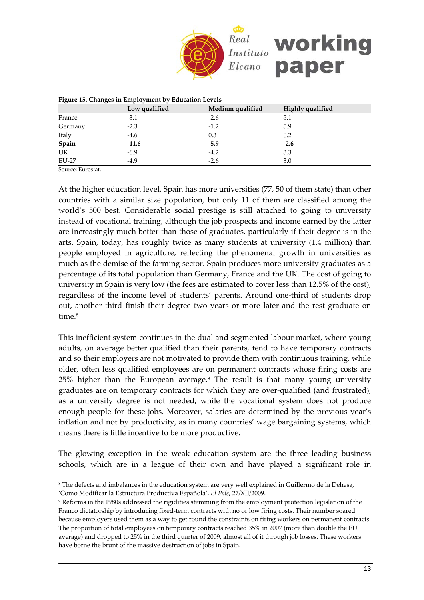

| Figure 15. Changes in Employment by Education Levels |               |                  |                  |  |  |
|------------------------------------------------------|---------------|------------------|------------------|--|--|
|                                                      | Low qualified | Medium qualified | Highly qualified |  |  |
| France                                               | $-3.1$        | $-2.6$           | 5.1              |  |  |
| Germany                                              | $-2.3$        | $-1.2$           | 5.9              |  |  |
| Italy                                                | $-4.6$        | 0.3              | 0.2              |  |  |
| Spain                                                | $-11.6$       | $-5.9$           | $-2.6$           |  |  |
| UK                                                   | $-6.9$        | $-4.2$           | 3.3              |  |  |
| EU-27                                                | $-4.9$        | $-2.6$           | 3.0              |  |  |

Source: Eurostat.

 $\overline{a}$ 

At the higher education level, Spain has more universities (77, 50 of them state) than other countries with a similar size population, but only 11 of them are classified among the world's 500 best. Considerable social prestige is still attached to going to university instead of vocational training, although the job prospects and income earned by the latter are increasingly much better than those of graduates, particularly if their degree is in the arts. Spain, today, has roughly twice as many students at university (1.4 million) than people employed in agriculture, reflecting the phenomenal growth in universities as much as the demise of the farming sector. Spain produces more university graduates as a percentage of its total population than Germany, France and the UK. The cost of going to university in Spain is very low (the fees are estimated to cover less than 12.5% of the cost), regardless of the income level of students' parents. Around one‐third of students drop out, another third finish their degree two years or more later and the rest graduate on time.<sup>[8](#page-12-0)</sup>

This inefficient system continues in the dual and segmented labour market, where young adults, on average better qualified than their parents, tend to have temporary contracts and so their employers are not motivated to provide them with continuous training, while older, often less qualified employees are on permanent contracts whose firing costs are 25% higher than the European average.[9](#page-12-1) The result is that many young university graduates are on temporary contracts for which they are over-qualified (and frustrated), as a university degree is not needed, while the vocational system does not produce enough people for these jobs. Moreover, salaries are determined by the previous year's inflation and not by productivity, as in many countries' wage bargaining systems, which means there is little incentive to be more productive.

The glowing exception in the weak education system are the three leading business schools, which are in a league of their own and have played a significant role in

<span id="page-12-0"></span><sup>8</sup> The defects and imbalances in the education system are very well explained in Guillermo de la Dehesa, 'Como Modificar la Estructura Productiva Española', *El País*, 27/XII/2009.

<span id="page-12-1"></span><sup>9</sup> Reforms in the 1980s addressed the rigidities stemming from the employment protection legislation of the Franco dictatorship by introducing fixed-term contracts with no or low firing costs. Their number soared because employers used them as a way to get round the constraints on firing workers on permanent contracts. The proportion of total employees on temporary contracts reached 35% in 2007 (more than double the EU average) and dropped to 25% in the third quarter of 2009, almost all of it through job losses. These workers have borne the brunt of the massive destruction of jobs in Spain.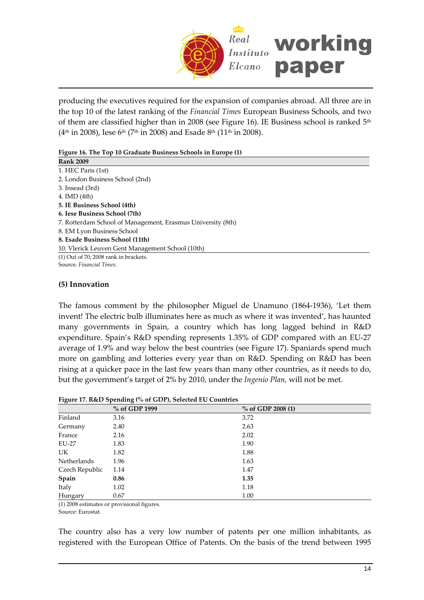

producing the executives required for the expansion of companies abroad. All three are in the top 10 of the latest ranking of the *Financial Times* European Business Schools, and two of them are classified higher than in 2008 (see Figure 16). IE Business school is ranked  $5<sup>th</sup>$  $(4<sup>th</sup>$  in 2008), Iese 6<sup>th</sup> (7<sup>th</sup> in 2008) and Esade 8<sup>th</sup> (11<sup>th</sup> in 2008).

| Figure 16. The Top 10 Graduate Business Schools in Europe (1) |
|---------------------------------------------------------------|
|---------------------------------------------------------------|

| <b>Rank 2009</b>                                            |
|-------------------------------------------------------------|
| 1. HEC Paris (1st)                                          |
| 2. London Business School (2nd)                             |
| 3. Insead (3rd)                                             |
| 4. IMD $(4th)$                                              |
| 5. IE Business School (4th)                                 |
| 6. Iese Business School (7th)                               |
| 7. Rotterdam School of Management, Erasmus University (8th) |
| 8. EM Lyon Business School                                  |
| 8. Esade Business School (11th)                             |
| 10. Vlerick Leuven Gent Management School (10th)            |
| $(1)$ Out of 70; 2008 rank in brackets.                     |
| Source: Financial Times.                                    |
|                                                             |

## **(5) Innovation**

The famous comment by the philosopher Miguel de Unamuno (1864‐1936), 'Let them invent! The electric bulb illuminates here as much as where it was invented', has haunted many governments in Spain, a country which has long lagged behind in R&D expenditure. Spain's R&D spending represents 1.35% of GDP compared with an EU‐27 average of 1.9% and way below the best countries (see Figure 17). Spaniards spend much more on gambling and lotteries every year than on R&D. Spending on R&D has been rising at a quicker pace in the last few years than many other countries, as it needs to do, but the government's target of 2% by 2010, under the *Ingenio Plan,* will not be met.

| $\sim$ $\sim$  | % of GDP 1999 | % of GDP 2008 (1) |
|----------------|---------------|-------------------|
| Finland        | 3.16          | 3.72              |
| Germany        | 2.40          | 2.63              |
| France         | 2.16          | 2.02              |
| EU-27          | 1.83          | 1.90              |
| UK.            | 1.82          | 1.88              |
| Netherlands    | 1.96          | 1.63              |
| Czech Republic | 1.14          | 1.47              |
| Spain          | 0.86          | 1.35              |
| Italy          | 1.02          | 1.18              |
| Hungary        | 0.67          | 1.00              |

### **Figure 17. R&D Spending (% of GDP), Selected EU Countries**

(1) 2008 estimates or provisional figures.

Source: Eurostat.

The country also has a very low number of patents per one million inhabitants, as registered with the European Office of Patents. On the basis of the trend between 1995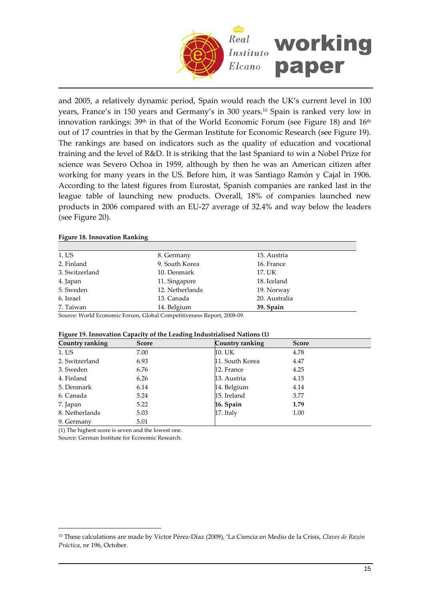

and 2005, a relatively dynamic period, Spain would reach the UK's current level in 100 years, France's in 150 years and Germany's in 300 years.[10](#page-14-0) Spain is ranked very low in innovation rankings:  $39<sup>th</sup>$  in that of the World Economic Forum (see Figure 18) and  $16<sup>th</sup>$ out of 17 countries in that by the German Institute for Economic Research (see Figure 19). The rankings are based on indicators such as the quality of education and vocational training and the level of R&D. It is striking that the last Spaniard to win a Nobel Prize for science was Severo Ochoa in 1959, although by then he was an American citizen after working for many years in the US. Before him, it was Santiago Ramón y Cajal in 1906. According to the latest figures from Eurostat, Spanish companies are ranked last in the league table of launching new products. Overall, 18% of companies launched new products in 2006 compared with an EU‐27 average of 32.4% and way below the leaders (see Figure 20).

#### **Figure 18. Innovation Ranking**

| 1. US          | 8. Germany      | 15. Austria   |  |
|----------------|-----------------|---------------|--|
| 2. Finland     | 9. South Korea  | 16. France    |  |
| 3. Switzerland | 10. Denmark     | 17. UK        |  |
| 4. Japan       | 11. Singapore   | 18. Iceland   |  |
| 5. Sweden      | 12. Netherlands | 19. Norway    |  |
| 6. Israel      | 13. Canada      | 20. Australia |  |
| 7. Taiwan      | 14. Belgium     | 39. Spain     |  |

Source: World Economic Forum, Global Competitiveness Report, 2008‐09.

| Figure 19. Innovation Capacity of the Leading Industrialised Nations (1) |  |  |  |
|--------------------------------------------------------------------------|--|--|--|
|--------------------------------------------------------------------------|--|--|--|

| Country ranking | ັ<br>Score | Country ranking | <b>Score</b> |
|-----------------|------------|-----------------|--------------|
| 1. US           | 7.00       | 10. UK          | 4.78         |
| 2. Switzerland  | 6.93       | 11. South Korea | 4.47         |
| 3. Sweden       | 6.76       | 12. France      | 4.25         |
| 4. Finland      | 6.26       | 13. Austria     | 4.15         |
| 5. Denmark      | 6.14       | 14. Belgium     | 4.14         |
| 6. Canada       | 5.24       | 15. Ireland     | 3.77         |
| 7. Japan        | 5.22       | 16. Spain       | 1.79         |
| 8. Netherlands  | 5.03       | 17. Italy       | 1.00         |
| 9. Germany      | 5.01       |                 |              |

(1) The highest score is seven and the lowest one.

Source: German Institute for Economic Research.

 $\overline{a}$ 

<span id="page-14-0"></span><sup>10</sup> These calculations are made by Victor Pérez‐Díaz (2009), 'La Ciencia en Medio de la Crisis, *Claves de Razón Práctica*, nr 196, October.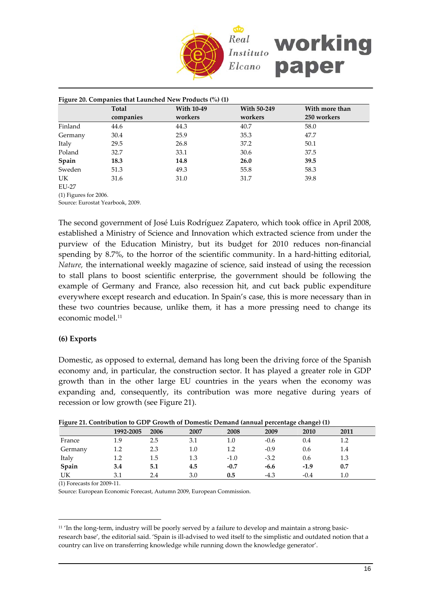

|         | Figure 20. Companies that Launched New Products $(\%)(1)$ |                   |             |                |  |
|---------|-----------------------------------------------------------|-------------------|-------------|----------------|--|
|         | Total                                                     | <b>With 10-49</b> | With 50-249 | With more than |  |
|         | companies                                                 | workers           | workers     | 250 workers    |  |
| Finland | 44.6                                                      | 44.3              | 40.7        | 58.0           |  |
| Germany | 30.4                                                      | 25.9              | 35.3        | 47.7           |  |
| Italy   | 29.5                                                      | 26.8              | 37.2        | 50.1           |  |
| Poland  | 32.7                                                      | 33.1              | 30.6        | 37.5           |  |
| Spain   | 18.3                                                      | 14.8              | 26.0        | 39.5           |  |
| Sweden  | 51.3                                                      | 49.3              | 55.8        | 58.3           |  |
| UK      | 31.6                                                      | 31.0              | 31.7        | 39.8           |  |

EU-27

(1) Figures for 2006. Source: Eurostat Yearbook, 2009.

The second government of José Luis Rodríguez Zapatero, which took office in April 2008, established a Ministry of Science and Innovation which extracted science from under the purview of the Education Ministry, but its budget for 2010 reduces non‐financial spending by 8.7%, to the horror of the scientific community. In a hard-hitting editorial, *Nature,* the international weekly magazine of science, said instead of using the recession to stall plans to boost scientific enterprise, the government should be following the example of Germany and France, also recession hit, and cut back public expenditure everywhere except research and education. In Spain's case, this is more necessary than in these two countries because, unlike them, it has a more pressing need to change its economic model.[11](#page-15-0)

## **(6) Exports**

Domestic, as opposed to external, demand has long been the driving force of the Spanish economy and, in particular, the construction sector. It has played a greater role in GDP growth than in the other large EU countries in the years when the economy was expanding and, consequently, its contribution was more negative during years of recession or low growth (see Figure 21).

| There are communion to GDT Growth of Bonicotte Benand (annual percentage enange) (1) | 1992-2005 | 2006 | 2007    | 2008   | 2009   | 2010   | 2011    |
|--------------------------------------------------------------------------------------|-----------|------|---------|--------|--------|--------|---------|
| France                                                                               | 1.9       | 2.5  | 3.1     | 1.0    | $-0.6$ | 0.4    | 1.2     |
| Germany                                                                              | 1.2       | 2.3  | $1.0\,$ |        | $-0.9$ | 0.6    | 1.4     |
| Italy                                                                                | 1.2       | 1.5  | 1.3     | $-1.0$ | $-3.2$ | 0.6    | 1.3     |
| Spain                                                                                | 3.4       | 5.1  | 4.5     | $-0.7$ | $-6.6$ | $-1.9$ | 0.7     |
| UK                                                                                   | 3.1       | 2.4  | 3.0     | 0.5    | $-4.3$ | $-0.4$ | $1.0\,$ |

**Figure 21. Contribution to GDP Growth of Domestic Demand (annual percentage change) (1)**

(1) Forecasts for 2009‐11.

 $\overline{a}$ 

Source: European Economic Forecast, Autumn 2009, European Commission.

<span id="page-15-0"></span> $11$  'In the long-term, industry will be poorly served by a failure to develop and maintain a strong basicresearch base', the editorial said. 'Spain is ill‐advised to wed itself to the simplistic and outdated notion that a country can live on transferring knowledge while running down the knowledge generator'.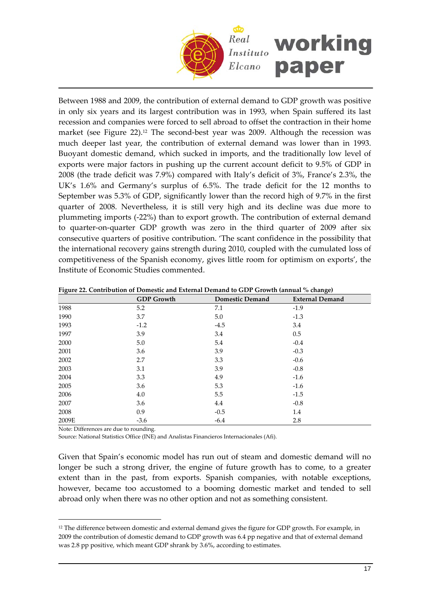

Between 1988 and 2009, the contribution of external demand to GDP growth was positive in only six years and its largest contribution was in 1993, when Spain suffered its last recession and companies were forced to sell abroad to offset the contraction in their home market (see Figure  $22$ ).<sup>[12](#page-16-0)</sup> The second-best year was 2009. Although the recession was much deeper last year, the contribution of external demand was lower than in 1993. Buoyant domestic demand, which sucked in imports, and the traditionally low level of exports were major factors in pushing up the current account deficit to 9.5% of GDP in 2008 (the trade deficit was 7.9%) compared with Italy's deficit of 3%, France's 2.3%, the UK's 1.6% and Germany's surplus of 6.5%. The trade deficit for the 12 months to September was 5.3% of GDP, significantly lower than the record high of 9.7% in the first quarter of 2008. Nevertheless, it is still very high and its decline was due more to plummeting imports (‐22%) than to export growth. The contribution of external demand to quarter‐on‐quarter GDP growth was zero in the third quarter of 2009 after six consecutive quarters of positive contribution. 'The scant confidence in the possibility that the international recovery gains strength during 2010, coupled with the cumulated loss of competitiveness of the Spanish economy, gives little room for optimism on exports', the Institute of Economic Studies commented.

|       | <b>GDP</b> Growth | <b>Domestic Demand</b> | <b>External Demand</b> |
|-------|-------------------|------------------------|------------------------|
| 1988  | 5.2               | 7.1                    | $-1.9$                 |
| 1990  | 3.7               | 5.0                    | $-1.3$                 |
| 1993  | $-1.2$            | $-4.5$                 | 3.4                    |
| 1997  | 3.9               | 3.4                    | $0.5\,$                |
| 2000  | 5.0               | 5.4                    | $-0.4$                 |
| 2001  | 3.6               | 3.9                    | $-0.3$                 |
| 2002  | 2.7               | 3.3                    | $-0.6$                 |
| 2003  | 3.1               | 3.9                    | $-0.8$                 |
| 2004  | 3.3               | 4.9                    | $-1.6$                 |
| 2005  | 3.6               | 5.3                    | $-1.6$                 |
| 2006  | 4.0               | 5.5                    | $-1.5$                 |
| 2007  | 3.6               | 4.4                    | $-0.8$                 |
| 2008  | 0.9               | $-0.5$                 | 1.4                    |
| 2009E | $-3.6$            | $-6.4$                 | 2.8                    |

**Figure 22. Contribution of Domestic and External Demand to GDP Growth (annual % change)**

Note: Differences are due to rounding.

 $\overline{a}$ 

Source: National Statistics Office (INE) and Analistas Financieros Internacionales (Afi).

Given that Spain's economic model has run out of steam and domestic demand will no longer be such a strong driver, the engine of future growth has to come, to a greater extent than in the past, from exports. Spanish companies, with notable exceptions, however, became too accustomed to a booming domestic market and tended to sell abroad only when there was no other option and not as something consistent.

<span id="page-16-0"></span> $12$  The difference between domestic and external demand gives the figure for GDP growth. For example, in 2009 the contribution of domestic demand to GDP growth was 6.4 pp negative and that of external demand was 2.8 pp positive, which meant GDP shrank by 3.6%, according to estimates.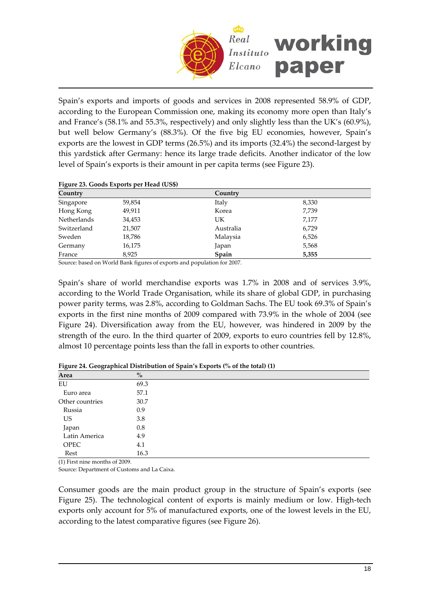

Spain's exports and imports of goods and services in 2008 represented 58.9% of GDP, according to the European Commission one, making its economy more open than Italy's and France's (58.1% and 55.3%, respectively) and only slightly less than the UK's (60.9%), but well below Germany's (88.3%). Of the five big EU economies, however, Spain's exports are the lowest in GDP terms (26.5%) and its imports (32.4%) the second-largest by this yardstick after Germany: hence its large trade deficits. Another indicator of the low level of Spain's exports is their amount in per capita terms (see Figure 23).

### **Figure 23. Goods Exports per Head (US\$)**

| Country            |        | Country   |       |
|--------------------|--------|-----------|-------|
| Singapore          | 59,854 | Italy     | 8,330 |
| Hong Kong          | 49,911 | Korea     | 7,739 |
| <b>Netherlands</b> | 34,453 | UK        | 7,177 |
| Switzerland        | 21,507 | Australia | 6,729 |
| Sweden             | 18,786 | Malaysia  | 6,526 |
| Germany            | 16,175 | Japan     | 5,568 |
| France             | 8,925  | Spain     | 5,355 |

Source: based on World Bank figures of exports and population for 2007.

Spain's share of world merchandise exports was 1.7% in 2008 and of services 3.9%, according to the World Trade Organisation, while its share of global GDP, in purchasing power parity terms, was 2.8%, according to Goldman Sachs. The EU took 69.3% of Spain's exports in the first nine months of 2009 compared with 73.9% in the whole of 2004 (see Figure 24). Diversification away from the EU, however, was hindered in 2009 by the strength of the euro. In the third quarter of 2009, exports to euro countries fell by 12.8%, almost 10 percentage points less than the fall in exports to other countries.

| Area            | $\%$ |
|-----------------|------|
| EU              | 69.3 |
| Euro area       | 57.1 |
| Other countries | 30.7 |
| Russia          | 0.9  |
| <b>US</b>       | 3.8  |
| Japan           | 0.8  |
| Latin America   | 4.9  |
| <b>OPEC</b>     | 4.1  |
| Rest            | 16.3 |

**Figure 24. Geographical Distribution of Spain's Exports (% of the total) (1)**

(1) First nine months of 2009.

Source: Department of Customs and La Caixa.

Consumer goods are the main product group in the structure of Spain's exports (see Figure 25). The technological content of exports is mainly medium or low. High-tech exports only account for 5% of manufactured exports, one of the lowest levels in the EU, according to the latest comparative figures (see Figure 26).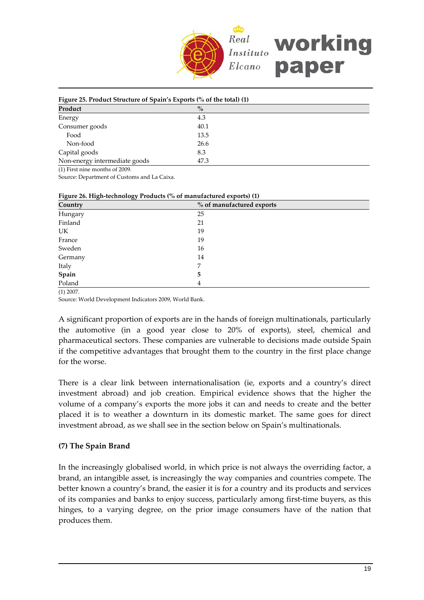

| Figure 25. Product Structure of Spain's Exports (% of the total) (1) |      |  |  |
|----------------------------------------------------------------------|------|--|--|
| Product                                                              | $\%$ |  |  |
| Energy                                                               | 4.3  |  |  |
| Consumer goods                                                       | 40.1 |  |  |
| Food                                                                 | 13.5 |  |  |
| Non-food                                                             | 26.6 |  |  |
| Capital goods                                                        | 8.3  |  |  |
| Non-energy intermediate goods                                        | 47.3 |  |  |

(1) First nine months of 2009.

Source: Department of Customs and La Caixa.

| ___<br>--<br>Country | % of manufactured exports |
|----------------------|---------------------------|
| Hungary              | 25                        |
| Finland              | 21                        |
| UK                   | 19                        |
| France               | 19                        |
| Sweden               | 16                        |
| Germany              | 14                        |
| Italy                | 7                         |
| Spain                | 5                         |
| Poland               | 4                         |

#### **Figure 26. High‐technology Products (% of manufactured exports) (1)**

(1) 2007. Source: World Development Indicators 2009, World Bank.

A significant proportion of exports are in the hands of foreign multinationals, particularly the automotive (in a good year close to 20% of exports), steel, chemical and pharmaceutical sectors. These companies are vulnerable to decisions made outside Spain if the competitive advantages that brought them to the country in the first place change for the worse.

There is a clear link between internationalisation (ie, exports and a country's direct investment abroad) and job creation. Empirical evidence shows that the higher the volume of a company's exports the more jobs it can and needs to create and the better placed it is to weather a downturn in its domestic market. The same goes for direct investment abroad, as we shall see in the section below on Spain's multinationals.

## **(7) The Spain Brand**

In the increasingly globalised world, in which price is not always the overriding factor, a brand, an intangible asset, is increasingly the way companies and countries compete. The better known a country's brand, the easier it is for a country and its products and services of its companies and banks to enjoy success, particularly among first-time buyers, as this hinges, to a varying degree, on the prior image consumers have of the nation that produces them.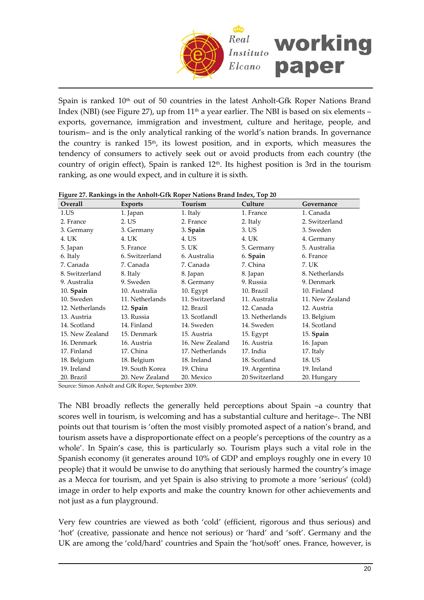

Spain is ranked 10<sup>th</sup> out of 50 countries in the latest Anholt-Gfk Roper Nations Brand Index (NBI) (see Figure 27), up from  $11<sup>th</sup>$  a year earlier. The NBI is based on six elements – exports, governance, immigration and investment, culture and heritage, people, and tourism– and is the only analytical ranking of the world's nation brands. In governance the country is ranked 15th, its lowest position, and in exports, which measures the tendency of consumers to actively seek out or avoid products from each country (the country of origin effect), Spain is ranked 12th. Its highest position is 3rd in the tourism ranking, as one would expect, and in culture it is sixth.

| Overall         | Exports         | Tourism         | Culture         | Governance      |
|-----------------|-----------------|-----------------|-----------------|-----------------|
| $1.$ US         | 1. Japan        | 1. Italy        | 1. France       | 1. Canada       |
| 2. France       | 2. US           | 2. France       | 2. Italy        | 2. Switzerland  |
| 3. Germany      | 3. Germany      | 3. Spain        | 3. US           | 3. Sweden       |
| 4. UK           | 4. UK           | 4. US           | 4. UK           | 4. Germany      |
| 5. Japan        | 5. France       | 5. UK           | 5. Germany      | 5. Australia    |
| 6. Italy        | 6. Switzerland  | 6. Australia    | 6. Spain        | 6. France       |
| 7. Canada       | 7. Canada       | 7. Canada       | 7. China        | 7. UK           |
| 8. Switzerland  | 8. Italy        | 8. Japan        | 8. Japan        | 8. Netherlands  |
| 9. Australia    | 9. Sweden       | 8. Germany      | 9. Russia       | 9. Denmark      |
| $10.$ Spain     | 10. Australia   | 10. Egypt       | 10. Brazil      | 10. Finland     |
| 10. Sweden      | 11. Netherlands | 11. Switzerland | 11. Australia   | 11. New Zealand |
| 12. Netherlands | 12. Spain       | 12. Brazil      | 12. Canada      | 12. Austria     |
| 13. Austria     | 13. Russia      | 13. Scotlandl   | 13. Netherlands | 13. Belgium     |
| 14. Scotland    | 14. Finland     | 14. Sweden      | 14. Sweden      | 14. Scotland    |
| 15. New Zealand | 15. Denmark     | 15. Austria     | 15. Egypt       | 15. Spain       |
| 16. Denmark     | 16. Austria     | 16. New Zealand | 16. Austria     | 16. Japan       |
| 17. Finland     | 17. China       | 17. Netherlands | 17. India       | 17. Italy       |
| 18. Belgium     | 18. Belgium     | 18. Ireland     | 18. Scotland    | 18. US          |
| 19. Ireland     | 19. South Korea | 19. China       | 19. Argentina   | 19. Ireland     |
| 20. Brazil      | 20. New Zealand | 20. Mexico      | 20 Switzerland  | 20. Hungary     |

#### **Figure 27. Rankings in the Anholt‐Gfk Roper Nations Brand Index, Top 20**

Source: Simon Anholt and GfK Roper, September 2009.

The NBI broadly reflects the generally held perceptions about Spain –a country that scores well in tourism, is welcoming and has a substantial culture and heritage–. The NBI points out that tourism is 'often the most visibly promoted aspect of a nation's brand, and tourism assets have a disproportionate effect on a people's perceptions of the country as a whole'. In Spain's case, this is particularly so. Tourism plays such a vital role in the Spanish economy (it generates around 10% of GDP and employs roughly one in every 10 people) that it would be unwise to do anything that seriously harmed the country's image as a Mecca for tourism, and yet Spain is also striving to promote a more 'serious' (cold) image in order to help exports and make the country known for other achievements and not just as a fun playground.

Very few countries are viewed as both 'cold' (efficient, rigorous and thus serious) and 'hot' (creative, passionate and hence not serious) or 'hard' and 'soft'. Germany and the UK are among the 'cold/hard' countries and Spain the 'hot/soft' ones. France, however, is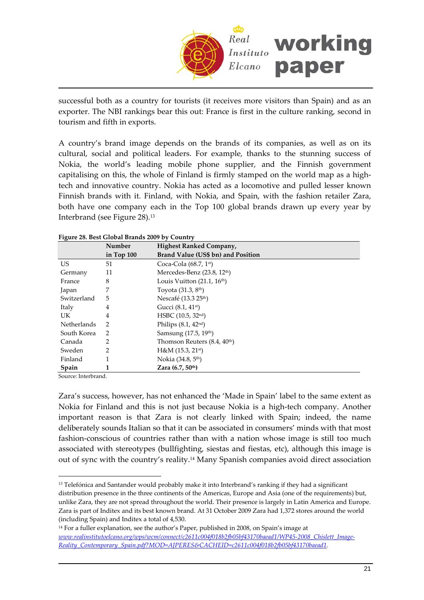

successful both as a country for tourists (it receives more visitors than Spain) and as an exporter. The NBI rankings bear this out: France is first in the culture ranking, second in tourism and fifth in exports.

A country's brand image depends on the brands of its companies, as well as on its cultural, social and political leaders. For example, thanks to the stunning success of Nokia, the world's leading mobile phone supplier, and the Finnish government capitalising on this, the whole of Finland is firmly stamped on the world map as a hightech and innovative country. Nokia has acted as a locomotive and pulled lesser known Finnish brands with it. Finland, with Nokia, and Spain, with the fashion retailer Zara, both have one company each in the Top 100 global brands drawn up every year by Interbrand (see Figure 28).[13](#page-20-0)

|                    | Number       | <b>Highest Ranked Company,</b>           |
|--------------------|--------------|------------------------------------------|
|                    | in Top $100$ | Brand Value (US\$ bn) and Position       |
| US.                | 51           | Coca-Cola $(68.7, 1st)$                  |
| Germany            | 11           | Mercedes-Benz (23.8, 12th)               |
| France             | 8            | Louis Vuitton $(21.1, 16th)$             |
| Japan              | 7            | Toyota $(31.3, 8th)$                     |
| Switzerland        | 5            | Nescafé (13.3 25 <sup>th</sup> )         |
| Italy              | 4            | Gucci (8.1, 41 <sup>st</sup> )           |
| UK.                | 4            | HSBC $(10.5, 32nd)$                      |
| <b>Netherlands</b> | 2            | Philips $(8.1, 42nd)$                    |
| South Korea        | 2            | Samsung (17.5, 19th)                     |
| Canada             | 2            | Thomson Reuters (8.4, 40 <sup>th</sup> ) |
| Sweden             | 2            | $H$ &M (15.3, 21st)                      |
| Finland            |              | Nokia (34.8, 5 <sup>th</sup> )           |
| Spain              |              | Zara $(6.7, 50th)$                       |

**Figure 28. Best Global Brands 2009 by Country**

Source: Interbrand.

 $\overline{a}$ 

Zara's success, however, has not enhanced the 'Made in Spain' label to the same extent as Nokia for Finland and this is not just because Nokia is a high‐tech company. Another important reason is that Zara is not clearly linked with Spain; indeed, the name deliberately sounds Italian so that it can be associated in consumers' minds with that most fashion-conscious of countries rather than with a nation whose image is still too much associated with stereotypes (bullfighting, siestas and fiestas, etc), although this image is out of sync with the country's reality.[14](#page-20-1) Many Spanish companies avoid direct association

<span id="page-20-0"></span><sup>13</sup> Telefónica and Santander would probably make it into Interbrand's ranking if they had a significant distribution presence in the three continents of the Americas, Europe and Asia (one of the requirements) but, unlike Zara, they are not spread throughout the world. Their presence is largely in Latin America and Europe. Zara is part of Inditex and its best known brand. At 31 October 2009 Zara had 1,372 stores around the world (including Spain) and Inditex a total of 4,530.

<span id="page-20-1"></span><sup>&</sup>lt;sup>14</sup> For a fuller explanation, see the author's Paper, published in 2008, on Spain's image at *[www.realinstitutoelcano.org/wps/wcm/connect/c2611c004f018b2fb05bf43170baead1/WP45](www.realinstitutoelcano.org/wps/wcm/connect/c2611c004f018b2fb05bf43170baead1/WP45-2008_Chislett_Image-Reality_Contemporary_Spain.pdf?MOD=AJPERES&CACHEID=c2611c004f018b2fb05bf43170baead1)‐2008\_Chislett\_Image‐ [Reality\\_Contemporary\\_Spain.pdf?MOD=AJPERES&CACHEID=c2611c004f018b2fb05bf43170baead1](www.realinstitutoelcano.org/wps/wcm/connect/c2611c004f018b2fb05bf43170baead1/WP45-2008_Chislett_Image-Reality_Contemporary_Spain.pdf?MOD=AJPERES&CACHEID=c2611c004f018b2fb05bf43170baead1).*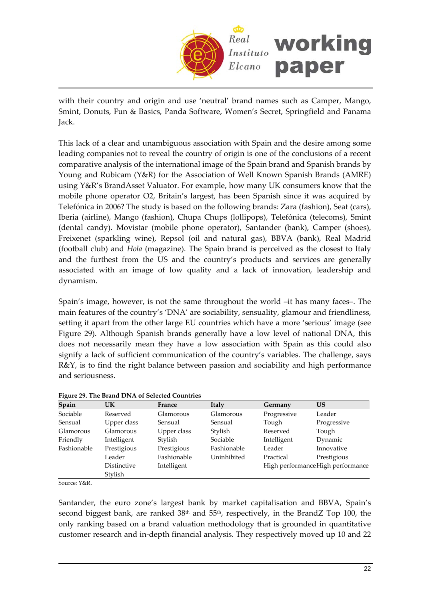

with their country and origin and use 'neutral' brand names such as Camper, Mango, Smint, Donuts, Fun & Basics, Panda Software, Women's Secret, Springfield and Panama Jack.

This lack of a clear and unambiguous association with Spain and the desire among some leading companies not to reveal the country of origin is one of the conclusions of a recent comparative analysis of the international image of the Spain brand and Spanish brands by Young and Rubicam (Y&R) for the Association of Well Known Spanish Brands (AMRE) using Y&R's BrandAsset Valuator. For example, how many UK consumers know that the mobile phone operator O2, Britain's largest, has been Spanish since it was acquired by Telefónica in 2006? The study is based on the following brands: Zara (fashion), Seat (cars), Iberia (airline), Mango (fashion), Chupa Chups (lollipops), Telefónica (telecoms), Smint (dental candy). Movistar (mobile phone operator), Santander (bank), Camper (shoes), Freixenet (sparkling wine), Repsol (oil and natural gas), BBVA (bank), Real Madrid (football club) and *Hola* (magazine). The Spain brand is perceived as the closest to Italy and the furthest from the US and the country's products and services are generally associated with an image of low quality and a lack of innovation, leadership and dynamism.

Spain's image, however, is not the same throughout the world –it has many faces–. The main features of the country's 'DNA' are sociability, sensuality, glamour and friendliness, setting it apart from the other large EU countries which have a more 'serious' image (see Figure 29). Although Spanish brands generally have a low level of national DNA, this does not necessarily mean they have a low association with Spain as this could also signify a lack of sufficient communication of the country's variables. The challenge, says R&Y, is to find the right balance between passion and sociability and high performance and seriousness.

| Spain       | UK          | France      | <b>Italy</b> | Germany     | US                                |
|-------------|-------------|-------------|--------------|-------------|-----------------------------------|
| Sociable    | Reserved    | Glamorous   | Glamorous    | Progressive | Leader                            |
| Sensual     | Upper class | Sensual     | Sensual      | Tough       | Progressive                       |
| Glamorous   | Glamorous   | Upper class | Stylish      | Reserved    | Tough                             |
| Friendly    | Intelligent | Stylish     | Sociable     | Intelligent | Dynamic                           |
| Fashionable | Prestigious | Prestigious | Fashionable  | Leader      | Innovative                        |
|             | Leader      | Fashionable | Uninhibited  | Practical   | Prestigious                       |
|             | Distinctive | Intelligent |              |             | High performance High performance |
|             | Stylish     |             |              |             |                                   |
| $\cdots$    |             |             |              |             |                                   |

**Figure 29. The Brand DNA of Selected Countries**

Source: Y&R.

Santander, the euro zone's largest bank by market capitalisation and BBVA, Spain's second biggest bank, are ranked 38<sup>th</sup> and 55<sup>th</sup>, respectively, in the BrandZ Top 100, the only ranking based on a brand valuation methodology that is grounded in quantitative customer research and in‐depth financial analysis. They respectively moved up 10 and 22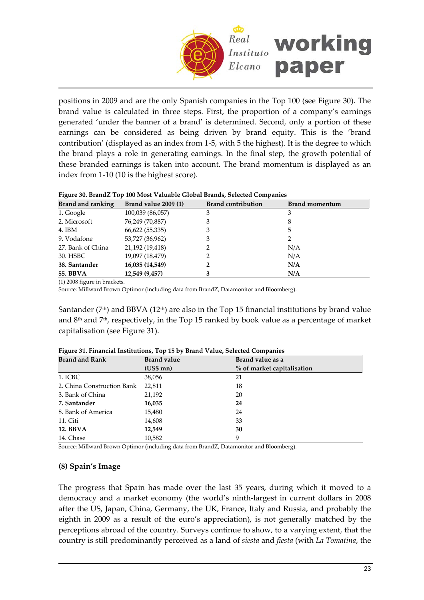

positions in 2009 and are the only Spanish companies in the Top 100 (see Figure 30). The brand value is calculated in three steps. First, the proportion of a company's earnings generated 'under the banner of a brand' is determined. Second, only a portion of these earnings can be considered as being driven by brand equity. This is the 'brand contribution' (displayed as an index from 1‐5, with 5 the highest). It is the degree to which the brand plays a role in generating earnings. In the final step, the growth potential of these branded earnings is taken into account. The brand momentum is displayed as an index from 1‐10 (10 is the highest score).

| Tigure 50. Dianuz. Tup Tuu Must Valuable Glubal Dianus, Selected Companies |                       |                           |                |  |  |  |
|----------------------------------------------------------------------------|-----------------------|---------------------------|----------------|--|--|--|
| Brand and ranking                                                          | Brand value $2009(1)$ | <b>Brand contribution</b> | Brand momentum |  |  |  |
| 1. Google                                                                  | 100,039 (86,057)      |                           |                |  |  |  |
| 2. Microsoft                                                               | 76,249 (70,887)       |                           |                |  |  |  |
| 4. IBM                                                                     | 66,622 (55,335)       | 3                         | 5              |  |  |  |
| 9. Vodafone                                                                | 53,727 (36,962)       | 3                         |                |  |  |  |
| 27. Bank of China                                                          | 21,192 (19,418)       |                           | N/A            |  |  |  |
| 30. HSBC                                                                   | 19,097 (18,479)       |                           | N/A            |  |  |  |
| 38. Santander                                                              | 16,035 (14,549)       |                           | N/A            |  |  |  |
| 55. BBVA                                                                   | 12,549 (9,457)        |                           | N/A            |  |  |  |

## **Figure 30. BrandZ Top 100 Most Valuable Global Brands, Selected Companies**

(1) 2008 figure in brackets.

Source: Millward Brown Optimor (including data from BrandZ, Datamonitor and Bloomberg).

Santander ( $7<sup>th</sup>$ ) and BBVA ( $12<sup>th</sup>$ ) are also in the Top 15 financial institutions by brand value and  $8<sup>th</sup>$  and  $7<sup>th</sup>$ , respectively, in the Top 15 ranked by book value as a percentage of market capitalisation (see Figure 31).

| <b>Brand and Rank</b>      | <b>Brand value</b> | Brand value as a           |
|----------------------------|--------------------|----------------------------|
|                            | $(US$$ mn $)$      | % of market capitalisation |
| 1. ICBC                    | 38,056             | 21                         |
| 2. China Construction Bank | 22,811             | 18                         |
| 3. Bank of China           | 21,192             | 20                         |
| 7. Santander               | 16,035             | 24                         |
| 8. Bank of America         | 15,480             | 24                         |
| 11. Citi                   | 14,608             | 33                         |
| <b>12. BBVA</b>            | 12,549             | 30                         |
| 14. Chase                  | 10,582             | 9                          |

**Figure 31. Financial Institutions, Top 15 by Brand Value, Selected Companies**

Source: Millward Brown Optimor (including data from BrandZ, Datamonitor and Bloomberg).

## **(8) Spain's Image**

The progress that Spain has made over the last 35 years, during which it moved to a democracy and a market economy (the world's ninth‐largest in current dollars in 2008 after the US, Japan, China, Germany, the UK, France, Italy and Russia, and probably the eighth in 2009 as a result of the euro's appreciation), is not generally matched by the perceptions abroad of the country. Surveys continue to show, to a varying extent, that the country is still predominantly perceived as a land of *siesta* and *fiesta* (with *La Tomatina*, the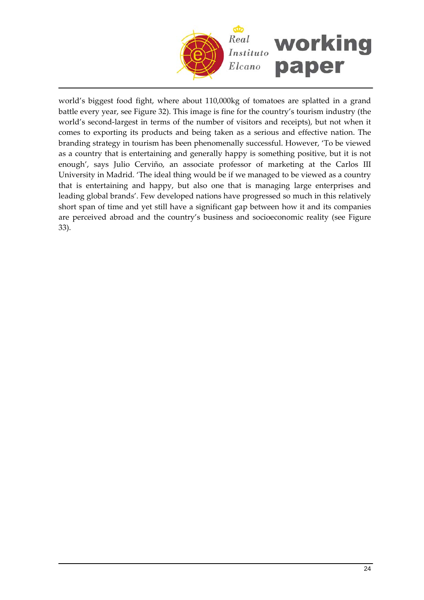

world's biggest food fight, where about 110,000kg of tomatoes are splatted in a grand battle every year, see Figure 32). This image is fine for the country's tourism industry (the world's second-largest in terms of the number of visitors and receipts), but not when it comes to exporting its products and being taken as a serious and effective nation. The branding strategy in tourism has been phenomenally successful. However, 'To be viewed as a country that is entertaining and generally happy is something positive, but it is not enough', says Julio Cerviño, an associate professor of marketing at the Carlos III University in Madrid. 'The ideal thing would be if we managed to be viewed as a country that is entertaining and happy, but also one that is managing large enterprises and leading global brands'. Few developed nations have progressed so much in this relatively short span of time and yet still have a significant gap between how it and its companies are perceived abroad and the country's business and socioeconomic reality (see Figure 33).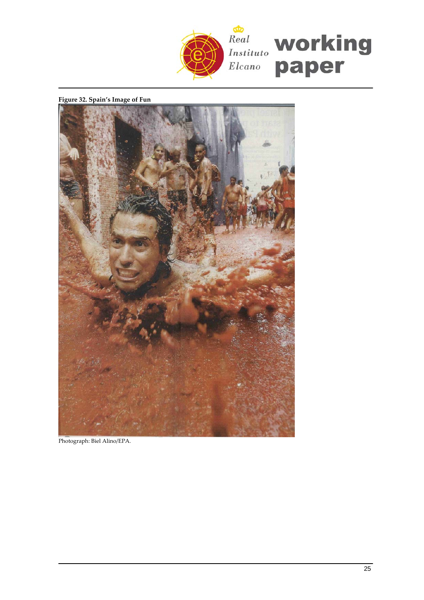

**Figure 32. Spain's Image of Fun**



Photograph: Biel Alino/EPA.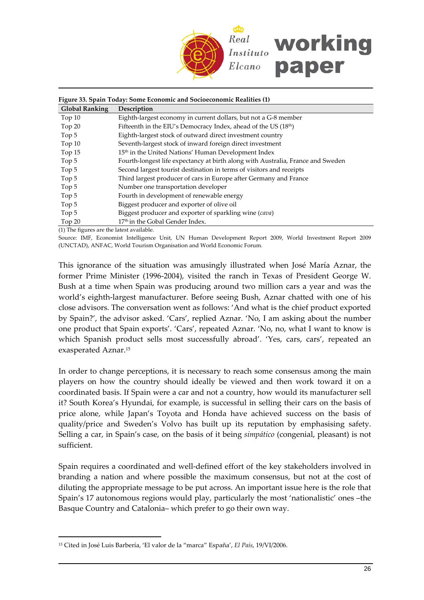

|                                          | Figure 33. Spain Today: Some Economic and Socioeconomic Realities (1)           |
|------------------------------------------|---------------------------------------------------------------------------------|
| <b>Global Ranking</b>                    | Description                                                                     |
| Top $10$                                 | Eighth-largest economy in current dollars, but not a G-8 member                 |
| Top 20                                   | Fifteenth in the EIU's Democracy Index, ahead of the US (18 <sup>th</sup> )     |
| Top 5                                    | Eighth-largest stock of outward direct investment country                       |
| Top 10                                   | Seventh-largest stock of inward foreign direct investment                       |
| Top 15                                   | 15 <sup>th</sup> in the United Nations' Human Development Index                 |
| Top 5                                    | Fourth-longest life expectancy at birth along with Australia, France and Sweden |
| Top 5                                    | Second largest tourist destination in terms of visitors and receipts            |
| Top 5                                    | Third largest producer of cars in Europe after Germany and France               |
| Top 5                                    | Number one transportation developer                                             |
| Top 5                                    | Fourth in development of renewable energy                                       |
| Top 5                                    | Biggest producer and exporter of olive oil                                      |
| Top 5                                    | Biggest producer and exporter of sparkling wine (cava)                          |
| Top $20$                                 | 17 <sup>th</sup> in the Gobal Gender Index.                                     |
| (1) The figures are the latest available |                                                                                 |

(1) The figures are the latest available.

 $\overline{a}$ 

Source: IMF, Economist Intelligence Unit, UN Human Development Report 2009, World Investment Report 2009 (UNCTAD), ANFAC, World Tourism Organisation and World Economic Forum.

This ignorance of the situation was amusingly illustrated when José María Aznar, the former Prime Minister (1996‐2004), visited the ranch in Texas of President George W. Bush at a time when Spain was producing around two million cars a year and was the world's eighth-largest manufacturer. Before seeing Bush, Aznar chatted with one of his close advisors. The conversation went as follows: 'And what is the chief product exported by Spain?', the advisor asked. 'Cars', replied Aznar. 'No, I am asking about the number one product that Spain exports'. 'Cars', repeated Aznar. 'No, no, what I want to know is which Spanish product sells most successfully abroad'. 'Yes, cars, cars', repeated an exasperated Aznar.[15](#page-25-0)

In order to change perceptions, it is necessary to reach some consensus among the main players on how the country should ideally be viewed and then work toward it on a coordinated basis. If Spain were a car and not a country, how would its manufacturer sell it? South Korea's Hyundai, for example, is successful in selling their cars on the basis of price alone, while Japan's Toyota and Honda have achieved success on the basis of quality/price and Sweden's Volvo has built up its reputation by emphasising safety. Selling a car, in Spain's case, on the basis of it being *simpático* (congenial, pleasant) is not sufficient.

Spain requires a coordinated and well‐defined effort of the key stakeholders involved in branding a nation and where possible the maximum consensus, but not at the cost of diluting the appropriate message to be put across. An important issue here is the role that Spain's 17 autonomous regions would play, particularly the most 'nationalistic' ones –the Basque Country and Catalonia– which prefer to go their own way.

<span id="page-25-0"></span><sup>15</sup> Cited in José Luis Barbería, 'El valor de la "marca" España', *El País*, 19/VI/2006.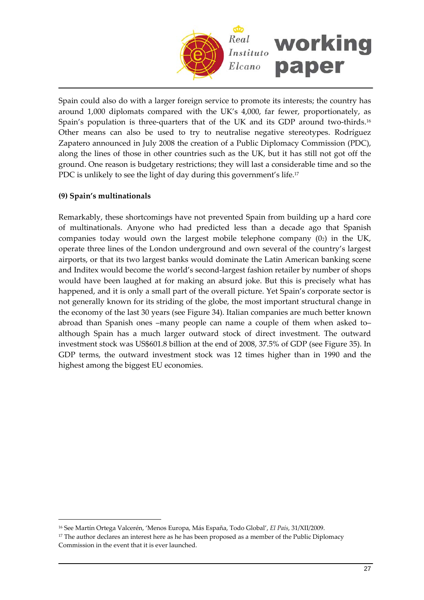

Spain could also do with a larger foreign service to promote its interests; the country has around 1,000 diplomats compared with the UK's 4,000, far fewer, proportionately, as Spain's population is three-quarters that of the UK and its GDP around two-thirds.<sup>16</sup> Other means can also be used to try to neutralise negative stereotypes. Rodríguez Zapatero announced in July 2008 the creation of a Public Diplomacy Commission (PDC), along the lines of those in other countries such as the UK, but it has still not got off the ground. One reason is budgetary restrictions; they will last a considerable time and so the PDC is unlikely to see the light of day during this government's life.<sup>17</sup>

## **(9) Spain's multinationals**

 $\overline{a}$ 

Remarkably, these shortcomings have not prevented Spain from building up a hard core of multinationals. Anyone who had predicted less than a decade ago that Spanish companies today would own the largest mobile telephone company (02) in the UK, operate three lines of the London underground and own several of the country's largest airports, or that its two largest banks would dominate the Latin American banking scene and Inditex would become the world's second-largest fashion retailer by number of shops would have been laughed at for making an absurd joke. But this is precisely what has happened, and it is only a small part of the overall picture. Yet Spain's corporate sector is not generally known for its striding of the globe, the most important structural change in the economy of the last 30 years (see Figure 34). Italian companies are much better known abroad than Spanish ones –many people can name a couple of them when asked to– although Spain has a much larger outward stock of direct investment. The outward investment stock was US\$601.8 billion at the end of 2008, 37.5% of GDP (see Figure 35). In GDP terms, the outward investment stock was 12 times higher than in 1990 and the highest among the biggest EU economies.

<span id="page-26-0"></span><sup>16</sup> See Martín Ortega Valcerén, 'Menos Europa, Más España, Todo Global', *El País*, 31/XII/2009.

<span id="page-26-1"></span><sup>&</sup>lt;sup>17</sup> The author declares an interest here as he has been proposed as a member of the Public Diplomacy Commission in the event that it is ever launched.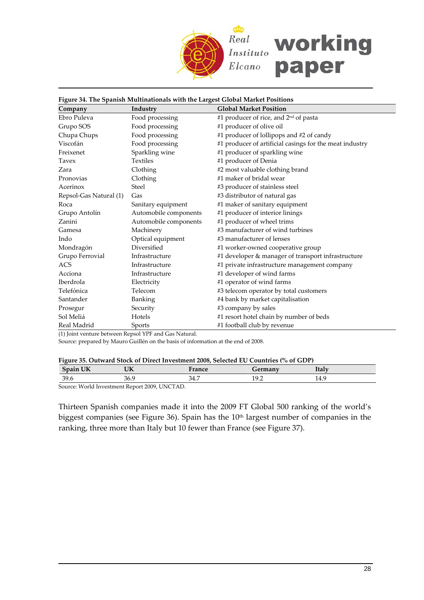

#### **Figure 34. The Spanish Multinationals with the Largest Global Market Positions**

| Company                | Industry              | <b>Global Market Position</b>                           |
|------------------------|-----------------------|---------------------------------------------------------|
| Ebro Puleva            | Food processing       | #1 producer of rice, and 2 <sup>nd</sup> of pasta       |
| Grupo SOS              | Food processing       | #1 producer of olive oil                                |
| Chupa Chups            | Food processing       | #1 producer of lollipops and #2 of candy                |
| Viscofán               | Food processing       | #1 producer of artificial casings for the meat industry |
| Freixenet              | Sparkling wine        | #1 producer of sparkling wine                           |
| Tavex                  | <b>Textiles</b>       | #1 producer of Denia                                    |
| Zara                   | Clothing              | #2 most valuable clothing brand                         |
| Pronovias              | Clothing              | #1 maker of bridal wear                                 |
| Acerinox               | <b>Steel</b>          | #3 producer of stainless steel                          |
| Repsol-Gas Natural (1) | Gas                   | #3 distributor of natural gas                           |
| Roca                   | Sanitary equipment    | #1 maker of sanitary equipment                          |
| Grupo Antolín          | Automobile components | #1 producer of interior linings                         |
| Zanini                 | Automobile components | #1 producer of wheel trims                              |
| Gamesa                 | Machinery             | #3 manufacturer of wind turbines                        |
| Indo                   | Optical equipment     | #3 manufacturer of lenses                               |
| Mondragón              | Diversified           | #1 worker-owned cooperative group                       |
| Grupo Ferrovial        | Infrastructure        | #1 developer & manager of transport infrastructure      |
| <b>ACS</b>             | Infrastructure        | #1 private infrastructure management company            |
| Acciona                | Infrastructure        | #1 developer of wind farms                              |
| Iberdrola              | Electricity           | #1 operator of wind farms                               |
| Telefónica             | Telecom               | #3 telecom operator by total customers                  |
| Santander              | <b>Banking</b>        | #4 bank by market capitalisation                        |
| Prosegur               | Security              | #3 company by sales                                     |
| Sol Meliá              | Hotels                | #1 resort hotel chain by number of beds                 |
| Real Madrid            | Sports                | #1 football club by revenue                             |

(1) Joint venture between Repsol YPF and Gas Natural.

Source: prepared by Mauro Guillén on the basis of information at the end of 2008.

|  | Figure 35. Outward Stock of Direct Investment 2008, Selected EU Countries (% of GDP) |  |  |
|--|--------------------------------------------------------------------------------------|--|--|
|  |                                                                                      |  |  |
|  |                                                                                      |  |  |
|  |                                                                                      |  |  |

| ----<br>$\sqrt{2}$ | TITZ<br>UN                                                                                           | 12200<br><b>ALLLE</b> |   | <b>Italy</b> |  |
|--------------------|------------------------------------------------------------------------------------------------------|-----------------------|---|--------------|--|
| 39.6               | 36.9                                                                                                 | ノエ・ノ                  | . | エエ・ノ         |  |
| $\sim$<br>.        | $\sim$ $\sim$ $\sim$ $\sim$ $\sim$ $\sim$ $\sim$ $\sim$<br>$\sim$ $\sim$<br>the property of the con- |                       |   |              |  |

Source: World Investment Report 2009, UNCTAD.

Thirteen Spanish companies made it into the 2009 FT Global 500 ranking of the world's biggest companies (see Figure 36). Spain has the 10<sup>th</sup> largest number of companies in the ranking, three more than Italy but 10 fewer than France (see Figure 37).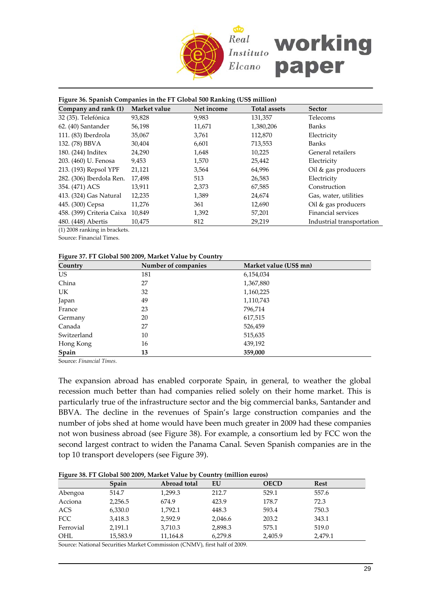

| Figure 36. Spanish Companies in the FT Global 500 Ranking (US\$ million) |              |            |                     |                           |  |  |
|--------------------------------------------------------------------------|--------------|------------|---------------------|---------------------------|--|--|
| Company and rank (1)                                                     | Market value | Net income | <b>Total assets</b> | <b>Sector</b>             |  |  |
| 32 (35). Telefónica                                                      | 93,828       | 9,983      | 131,357             | Telecoms                  |  |  |
| 62. (40) Santander                                                       | 56,198       | 11,671     | 1,380,206           | <b>Banks</b>              |  |  |
| 111. (83) Iberdrola                                                      | 35,067       | 3,761      | 112,870             | Electricity               |  |  |
| 132. (78) BBVA                                                           | 30,404       | 6,601      | 713,553             | Banks                     |  |  |
| 180. (244) Inditex                                                       | 24,290       | 1,648      | 10,225              | General retailers         |  |  |
| 203. (460) U. Fenosa                                                     | 9,453        | 1,570      | 25,442              | Electricity               |  |  |
| 213. (193) Repsol YPF                                                    | 21,121       | 3,564      | 64,996              | Oil & gas producers       |  |  |
| 282. (306) Iberdola Ren.                                                 | 17,498       | 513        | 26,583              | Electricity               |  |  |
| 354. (471) ACS                                                           | 13,911       | 2,373      | 67,585              | Construction              |  |  |
| 413. (324) Gas Natural                                                   | 12,235       | 1,389      | 24,674              | Gas, water, utilities     |  |  |
| 445. (300) Cepsa                                                         | 11,276       | 361        | 12,690              | Oil & gas producers       |  |  |
| 458. (399) Criteria Caixa                                                | 10,849       | 1,392      | 57,201              | Financial services        |  |  |
| 480. (448) Abertis                                                       | 10,475       | 812        | 29,219              | Industrial transportation |  |  |
| $(1)$ 2009 $$ $1$ $$ $1$ $1$                                             |              |            |                     |                           |  |  |

(1) 2008 ranking in brackets.

Source: Financial Times.

#### **Figure 37. FT Global 500 2009, Market Value by Country**

| Country     | Number of companies | Market value (US\$ mn) |
|-------------|---------------------|------------------------|
| US          | 181                 | 6,154,034              |
| China       | 27                  | 1,367,880              |
| UK          | 32                  | 1,160,225              |
| Japan       | 49                  | 1,110,743              |
| France      | 23                  | 796,714                |
| Germany     | 20                  | 617,515                |
| Canada      | 27                  | 526,459                |
| Switzerland | 10                  | 515,635                |
| Hong Kong   | 16                  | 439,192                |
| Spain       | 13                  | 359,000                |

Source: *Financial Times*.

The expansion abroad has enabled corporate Spain, in general, to weather the global recession much better than had companies relied solely on their home market. This is particularly true of the infrastructure sector and the big commercial banks, Santander and BBVA. The decline in the revenues of Spain's large construction companies and the number of jobs shed at home would have been much greater in 2009 had these companies not won business abroad (see Figure 38). For example, a consortium led by FCC won the second largest contract to widen the Panama Canal. Seven Spanish companies are in the top 10 transport developers (see Figure 39).

|  |  | Figure 38. FT Global 500 2009, Market Value by Country (million euros) |  |  |
|--|--|------------------------------------------------------------------------|--|--|
|  |  |                                                                        |  |  |

|           | Spain    | Abroad total | EU      | <b>OECD</b> | <b>Rest</b> |
|-----------|----------|--------------|---------|-------------|-------------|
| Abengoa   | 514.7    | 1.299.3      | 212.7   | 529.1       | 557.6       |
| Acciona   | 2,256.5  | 674.9        | 423.9   | 178.7       | 72.3        |
| ACS       | 6,330.0  | 1.792.1      | 448.3   | 593.4       | 750.3       |
| FCC       | 3,418.3  | 2.592.9      | 2,046.6 | 203.2       | 343.1       |
| Ferrovial | 2,191.1  | 3,710.3      | 2,898.3 | 575.1       | 519.0       |
| OHL       | 15,583.9 | 11,164.8     | 6,279.8 | 2,405.9     | 2,479.1     |

Source: National Securities Market Commission (CNMV), first half of 2009.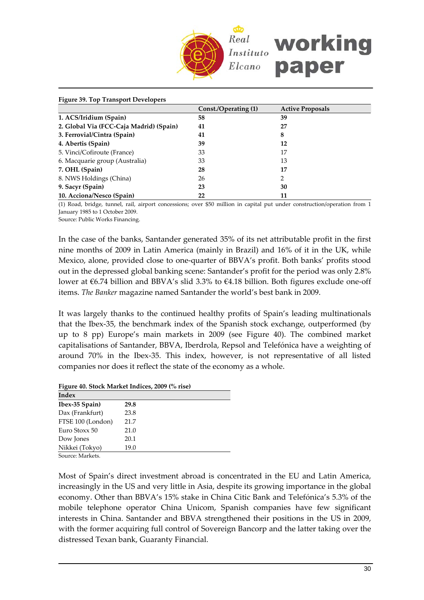

| <b>Figure 39. Top Transport Developers</b> |                      |                         |  |
|--------------------------------------------|----------------------|-------------------------|--|
|                                            | Const./Operating (1) | <b>Active Proposals</b> |  |
| 1. ACS/Iridium (Spain)                     | 58                   | 39                      |  |
| 2. Global Via (FCC-Caja Madrid) (Spain)    | 41                   | 27                      |  |
| 3. Ferrovial/Cintra (Spain)                | 41                   | 8                       |  |
| 4. Abertis (Spain)                         | 39                   | 12                      |  |
| 5. Vinci/Cofiroute (France)                | 33                   | 17                      |  |
| 6. Macquarie group (Australia)             | 33                   | 13                      |  |
| 7. OHL (Spain)                             | 28                   | 17                      |  |
| 8. NWS Holdings (China)                    | 26                   | 2                       |  |
| 9. Sacyr (Spain)                           | 23                   | 30                      |  |
| 10. Acciona/Nesco (Spain)                  | 22                   | 11                      |  |

(1) Road, bridge, tunnel, rail, airport concessions; over \$50 million in capital put under construction/operation from 1 January 1985 to 1 October 2009.

Source: Public Works Financing.

In the case of the banks, Santander generated 35% of its net attributable profit in the first nine months of 2009 in Latin America (mainly in Brazil) and 16% of it in the UK, while Mexico, alone, provided close to one‐quarter of BBVA's profit. Both banks' profits stood out in the depressed global banking scene: Santander's profit for the period was only 2.8% lower at €6.74 billion and BBVA's slid 3.3% to €4.18 billion. Both figures exclude one‐off items. *The Banker* magazine named Santander the world's best bank in 2009.

It was largely thanks to the continued healthy profits of Spain's leading multinationals that the Ibex‐35, the benchmark index of the Spanish stock exchange, outperformed (by up to 8 pp) Europe's main markets in 2009 (see Figure 40). The combined market capitalisations of Santander, BBVA, Iberdrola, Repsol and Telefónica have a weighting of around 70% in the Ibex‐35. This index, however, is not representative of all listed companies nor does it reflect the state of the economy as a whole.

**Figure 40. Stock Market Indices, 2009 (% rise)**

| Index                                         |      |  |  |
|-----------------------------------------------|------|--|--|
| Ibex-35 Spain)                                | 29.8 |  |  |
| Dax (Frankfurt)                               | 23.8 |  |  |
| FTSE 100 (London)                             | 21.7 |  |  |
| Euro Stoxx 50                                 | 21.0 |  |  |
| Dow Jones                                     | 20.1 |  |  |
| Nikkei (Tokyo)                                | 19.0 |  |  |
| $C_{\text{source}}$ , M <sub>r</sub> , 1., 1. |      |  |  |

Source: Markets.

Most of Spain's direct investment abroad is concentrated in the EU and Latin America, increasingly in the US and very little in Asia, despite its growing importance in the global economy. Other than BBVA's 15% stake in China Citic Bank and Telefónica's 5.3% of the mobile telephone operator China Unicom, Spanish companies have few significant interests in China. Santander and BBVA strengthened their positions in the US in 2009, with the former acquiring full control of Sovereign Bancorp and the latter taking over the distressed Texan bank, Guaranty Financial.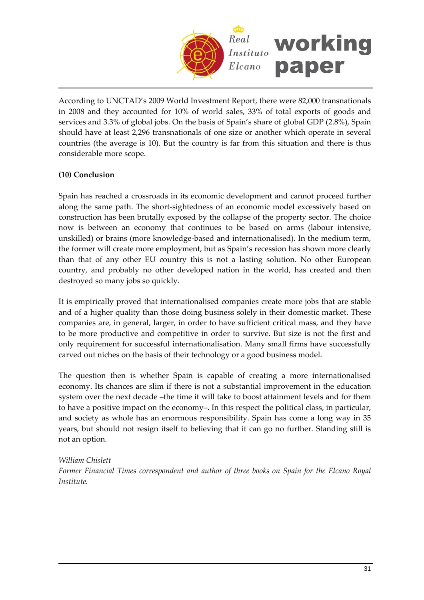

According to UNCTAD's 2009 World Investment Report, there were 82,000 transnationals in 2008 and they accounted for 10% of world sales, 33% of total exports of goods and services and 3.3% of global jobs. On the basis of Spain's share of global GDP (2.8%), Spain should have at least 2,296 transnationals of one size or another which operate in several countries (the average is 10). But the country is far from this situation and there is thus considerable more scope.

# **(10) Conclusion**

Spain has reached a crossroads in its economic development and cannot proceed further along the same path. The short‐sightedness of an economic model excessively based on construction has been brutally exposed by the collapse of the property sector. The choice now is between an economy that continues to be based on arms (labour intensive, unskilled) or brains (more knowledge‐based and internationalised). In the medium term, the former will create more employment, but as Spain's recession has shown more clearly than that of any other EU country this is not a lasting solution. No other European country, and probably no other developed nation in the world, has created and then destroyed so many jobs so quickly.

It is empirically proved that internationalised companies create more jobs that are stable and of a higher quality than those doing business solely in their domestic market. These companies are, in general, larger, in order to have sufficient critical mass, and they have to be more productive and competitive in order to survive. But size is not the first and only requirement for successful internationalisation. Many small firms have successfully carved out niches on the basis of their technology or a good business model.

The question then is whether Spain is capable of creating a more internationalised economy. Its chances are slim if there is not a substantial improvement in the education system over the next decade –the time it will take to boost attainment levels and for them to have a positive impact on the economy–. In this respect the political class, in particular, and society as whole has an enormous responsibility. Spain has come a long way in 35 years, but should not resign itself to believing that it can go no further. Standing still is not an option.

## *William Chislett*

*Former Financial Times correspondent and author of three books on Spain for the Elcano Royal Institute.*